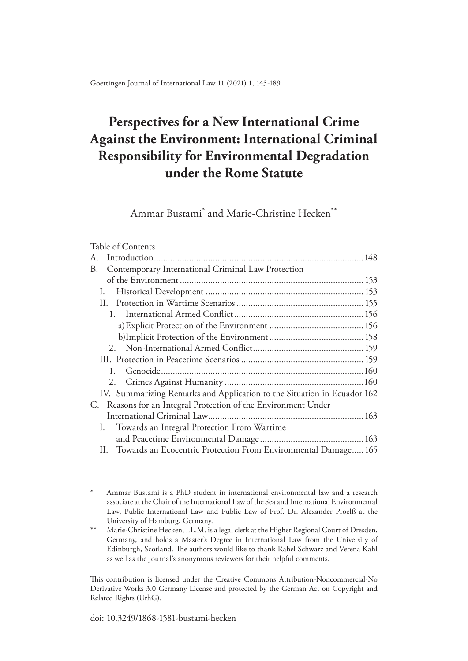# **Perspectives for a New International Crime Against the Environment: International Criminal Responsibility for Environmental Degradation under the Rome Statute**

Ammar Bustami\* and Marie-Christine Hecken\*\*

|    | Table of Contents                                                       |  |
|----|-------------------------------------------------------------------------|--|
| А. |                                                                         |  |
| B. | Contemporary International Criminal Law Protection                      |  |
|    |                                                                         |  |
|    | Ι.                                                                      |  |
|    | II.                                                                     |  |
|    |                                                                         |  |
|    |                                                                         |  |
|    |                                                                         |  |
|    |                                                                         |  |
|    |                                                                         |  |
|    |                                                                         |  |
|    |                                                                         |  |
|    | IV. Summarizing Remarks and Application to the Situation in Ecuador 162 |  |
|    | C. Reasons for an Integral Protection of the Environment Under          |  |
|    |                                                                         |  |
|    | Towards an Integral Protection From Wartime<br>I.                       |  |
|    |                                                                         |  |
|    | II. Towards an Ecocentric Protection From Environmental Damage165       |  |

This contribution is licensed under the Creative Commons Attribution-Noncommercial-No Derivative Works 3.0 Germany License and protected by the German Act on Copyright and Related Rights (UrhG).

doi: 10.3249/1868-1581-bustami-hecken

Ammar Bustami is a PhD student in international environmental law and a research associate at the Chair of the International Law of the Sea and International Environmental Law, Public International Law and Public Law of Prof. Dr. Alexander Proelß at the University of Hamburg, Germany.

Marie-Christine Hecken, LL.M. is a legal clerk at the Higher Regional Court of Dresden, Germany, and holds a Master's Degree in International Law from the University of Edinburgh, Scotland. The authors would like to thank Rahel Schwarz and Verena Kahl as well as the Journal's anonymous reviewers for their helpful comments.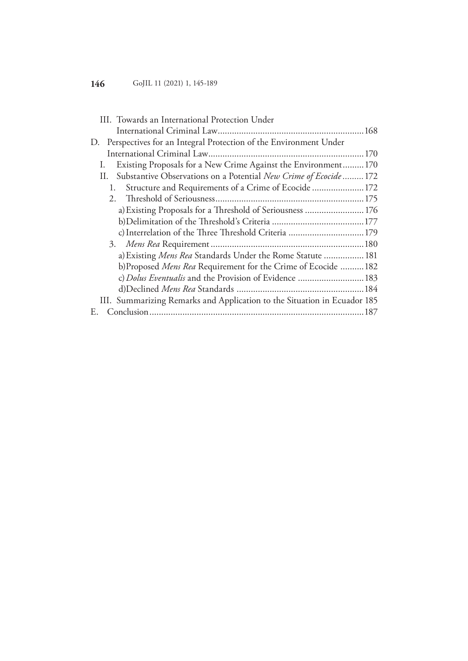| III. Towards an International Protection Under                           |  |
|--------------------------------------------------------------------------|--|
|                                                                          |  |
| Perspectives for an Integral Protection of the Environment Under<br>D.   |  |
|                                                                          |  |
| Existing Proposals for a New Crime Against the Environment 170           |  |
| II. Substantive Observations on a Potential New Crime of Ecocide  172    |  |
| Structure and Requirements of a Crime of Ecocide  172                    |  |
|                                                                          |  |
| a) Existing Proposals for a Threshold of Seriousness  176                |  |
|                                                                          |  |
| c) Interrelation of the Three Threshold Criteria  179                    |  |
|                                                                          |  |
| a) Existing Mens Rea Standards Under the Rome Statute  181               |  |
| b)Proposed Mens Rea Requirement for the Crime of Ecocide 182             |  |
| c) Dolus Eventualis and the Provision of Evidence  183                   |  |
|                                                                          |  |
| III. Summarizing Remarks and Application to the Situation in Ecuador 185 |  |
| E.                                                                       |  |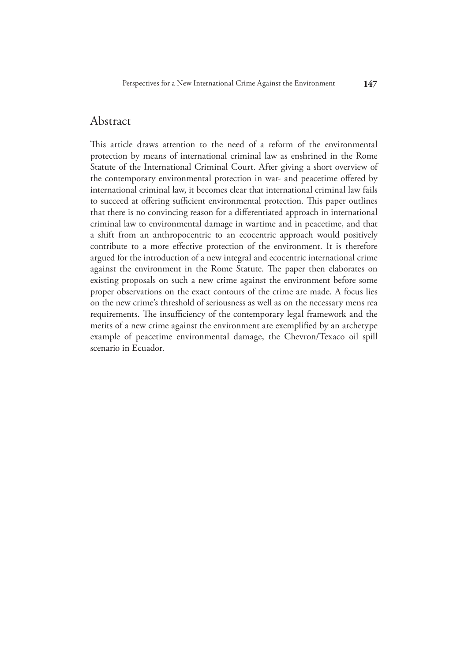## Abstract

This article draws attention to the need of a reform of the environmental protection by means of international criminal law as enshrined in the Rome Statute of the International Criminal Court. After giving a short overview of the contemporary environmental protection in war- and peacetime offered by international criminal law, it becomes clear that international criminal law fails to succeed at offering sufficient environmental protection. This paper outlines that there is no convincing reason for a differentiated approach in international criminal law to environmental damage in wartime and in peacetime, and that a shift from an anthropocentric to an ecocentric approach would positively contribute to a more effective protection of the environment. It is therefore argued for the introduction of a new integral and ecocentric international crime against the environment in the Rome Statute. The paper then elaborates on existing proposals on such a new crime against the environment before some proper observations on the exact contours of the crime are made. A focus lies on the new crime's threshold of seriousness as well as on the necessary mens rea requirements. The insufficiency of the contemporary legal framework and the merits of a new crime against the environment are exemplified by an archetype example of peacetime environmental damage, the Chevron/Texaco oil spill scenario in Ecuador.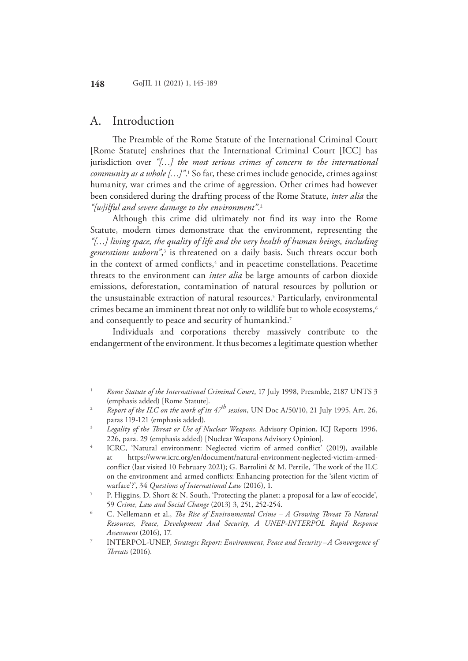## <span id="page-3-0"></span>A. Introduction

The Preamble of the Rome Statute of the International Criminal Court [Rome Statute] enshrines that the International Criminal Court [ICC] has jurisdiction over *"[…] the most serious crimes of concern to the international community as a whole* [...]".<sup>1</sup> So far, these crimes include genocide, crimes against humanity, war crimes and the crime of aggression. Other crimes had however been considered during the drafting process of the Rome Statute, *inter alia* the *"[w]ilful and severe damage to the environment"*. 2

Although this crime did ultimately not find its way into the Rome Statute, modern times demonstrate that the environment, representing the *"[…] living space, the quality of life and the very health of human beings, including generations unborn"*, 3 is threatened on a daily basis. Such threats occur both in the context of armed conflicts,<sup>4</sup> and in peacetime constellations. Peacetime threats to the environment can *inter alia* be large amounts of carbon dioxide emissions, deforestation, contamination of natural resources by pollution or the unsustainable extraction of natural resources.<sup>5</sup> Particularly, environmental crimes became an imminent threat not only to wildlife but to whole ecosystems,<sup>6</sup> and consequently to peace and security of humankind.<sup>7</sup>

Individuals and corporations thereby massively contribute to the endangerment of the environment. It thus becomes a legitimate question whether

<sup>1</sup> *Rome Statute of the International Criminal Court*, 17 July 1998, Preamble, 2187 UNTS 3 (emphasis added) [Rome Statute].

<sup>2</sup> *Report of the ILC on the work of its*  $47^h$  *session*, UN Doc A/50/10, 21 July 1995, Art. 26, paras 119-121 (emphasis added).

<sup>3</sup> *Legality of the Threat or Use of Nuclear Weapons*, Advisory Opinion, ICJ Reports 1996, 226, para. 29 (emphasis added) [Nuclear Weapons Advisory Opinion].

ICRC, 'Natural environment: Neglected victim of armed conflict' (2019), available at https://www.icrc.org/en/document/natural-environment-neglected-victim-armedconflict (last visited 10 February 2021); G. Bartolini & M. Pertile, 'The work of the ILC on the environment and armed conflicts: Enhancing protection for the 'silent victim of warfare'?', 34 *Questions of International Law* (2016), 1.

<sup>5</sup> P. Higgins, D. Short & N. South, 'Protecting the planet: a proposal for a law of ecocide', 59 *Crime, Law and Social Change* (2013) 3, 251, 252-254.

<sup>6</sup> C. Nellemann et al., *The Rise of Environmental Crime – A Growing Threat To Natural Resources, Peace, Development And Security, A UNEP-INTERPOL Rapid Response Assessment* (2016), 17.

<sup>7</sup> INTERPOL-UNEP, *Strategic Report: Environment, Peace and Security –A Convergence of Threats* (2016).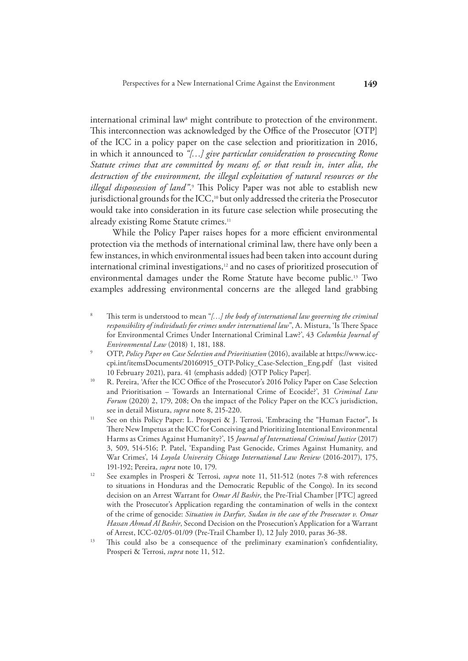international criminal law<sup>s</sup> might contribute to protection of the environment. This interconnection was acknowledged by the Office of the Prosecutor [OTP] of the ICC in a policy paper on the case selection and prioritization in 2016, in which it announced to *"[…] give particular consideration to prosecuting Rome Statute crimes that are committed by means of, or that result in, inter alia, the destruction of the environment, the illegal exploitation of natural resources or the illegal dispossession of land"*. 9 This Policy Paper was not able to establish new jurisdictional grounds for the ICC,<sup>10</sup> but only addressed the criteria the Prosecutor would take into consideration in its future case selection while prosecuting the already existing Rome Statute crimes.<sup>11</sup>

While the Policy Paper raises hopes for a more efficient environmental protection via the methods of international criminal law, there have only been a few instances, in which environmental issues had been taken into account during international criminal investigations,<sup>12</sup> and no cases of prioritized prosecution of environmental damages under the Rome Statute have become public.13 Two examples addressing environmental concerns are the alleged land grabbing

- 8 This term is understood to mean "*[…] the body of international law governing the criminal responsibility of individuals for crimes under international law*", A. Mistura, 'Is There Space for Environmental Crimes Under International Criminal Law?', 43 *Columbia Journal of Environmental Law* (2018) 1, 181, 188.
- 9 OTP, *Policy Paper on Case Selection and Prioritisation* (2016), available at https://www.icccpi.int/itemsDocuments/20160915\_OTP-Policy\_Case-Selection\_Eng.pdf (last visited 10 February 2021), para. 41 (emphasis added) [OTP Policy Paper].
- <sup>10</sup> R. Pereira, 'After the ICC Office of the Prosecutor's 2016 Policy Paper on Case Selection and Prioritisation – Towards an International Crime of Ecocide?', 31 *Criminal Law Forum* (2020) 2, 179, 208; On the impact of the Policy Paper on the ICC's jurisdiction, see in detail Mistura, *supra* note 8, 215-220.
- See on this Policy Paper: L. Prosperi & J. Terrosi, 'Embracing the "Human Factor", Is There New Impetus at the ICC for Conceiving and Prioritizing Intentional Environmental Harms as Crimes Against Humanity?', 15 *Journal of International Criminal Justice* (2017) 3, 509, 514-516; P. Patel, 'Expanding Past Genocide, Crimes Against Humanity, and War Crimes', 14 *Loyola University Chicago International Law Review* (2016-2017), 175, 191-192; Pereira, *supra* note 10, 179.
- <sup>12</sup> See examples in Prosperi & Terrosi, *supra* note 11, 511-512 (notes 7-8 with references to situations in Honduras and the Democratic Republic of the Congo). In its second decision on an Arrest Warrant for *Omar Al Bashir*, the Pre-Trial Chamber [PTC] agreed with the Prosecutor's Application regarding the contamination of wells in the context of the crime of genocide: *Situation in Darfur, Sudan in the case of the Prosecutor v. Omar Hassan Ahmad Al Bashir*, Second Decision on the Prosecution's Application for a Warrant of Arrest, ICC-02/05-01/09 (Pre-Trail Chamber I), 12 July 2010, paras 36-38.
- <sup>13</sup> This could also be a consequence of the preliminary examination's confidentiality, Prosperi & Terrosi, *supra* note 11, 512.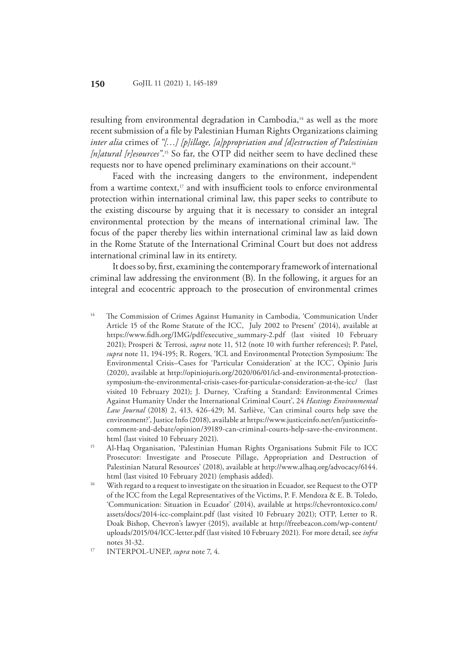resulting from environmental degradation in Cambodia,<sup>14</sup> as well as the more recent submission of a file by Palestinian Human Rights Organizations claiming *inter alia* crimes of *"[…] [p]illage, [a]ppropriation and [d]estruction of Palestinian [n]atural [r]esources"*. 15 So far, the OTP did neither seem to have declined these requests nor to have opened preliminary examinations on their account.16

Faced with the increasing dangers to the environment, independent from a wartime context, $17$  and with insufficient tools to enforce environmental protection within international criminal law, this paper seeks to contribute to the existing discourse by arguing that it is necessary to consider an integral environmental protection by the means of international criminal law. The focus of the paper thereby lies within international criminal law as laid down in the Rome Statute of the International Criminal Court but does not address international criminal law in its entirety.

It does so by, first, examining the contemporary framework of international criminal law addressing the environment (B). In the following, it argues for an integral and ecocentric approach to the prosecution of environmental crimes

- <sup>14</sup> The Commission of Crimes Against Humanity in Cambodia, 'Communication Under Article 15 of the Rome Statute of the ICC, July 2002 to Present' (2014), available at https://www.fidh.org/IMG/pdf/executive\_summary-2.pdf (last visited 10 February 2021); Prosperi & Terrosi, *supra* note 11, 512 (note 10 with further references); P. Patel, *supra* note 11, 194-195; R. Rogers, 'ICL and Environmental Protection Symposium: The Environmental Crisis–Cases for 'Particular Consideration' at the ICC', Opinio Juris (2020), available at http://opiniojuris.org/2020/06/01/icl-and-environmental-protectionsymposium-the-environmental-crisis-cases-for-particular-consideration-at-the-icc/ (last visited 10 February 2021); J. Durney, 'Crafting a Standard: Environmental Crimes Against Humanity Under the International Criminal Court', 24 *Hastings Environmental Law Journal* (2018) 2, 413, 426-429; M. Sarliève, 'Can criminal courts help save the environment?', Justice Info (2018), available at https://www.justiceinfo.net/en/justiceinfocomment-and-debate/opinion/39189-can-criminal-courts-help-save-the-environment.
- html (last visited 10 February 2021). 15 Al-Haq Organisation, 'Palestinian Human Rights Organisations Submit File to ICC Prosecutor: Investigate and Prosecute Pillage, Appropriation and Destruction of Palestinian Natural Resources' (2018), available at http://www.alhaq.org/advocacy/6144. html (last visited 10 February 2021) (emphasis added).
- <sup>16</sup> With regard to a request to investigate on the situation in Ecuador, see Request to the OTP of the ICC from the Legal Representatives of the Victims, P. F. Mendoza & E. B. Toledo, 'Communication: Situation in Ecuador' (2014), available at https://chevrontoxico.com/ assets/docs/2014-icc-complaint.pdf (last visited 10 February 2021); OTP, Letter to R. Doak Bishop, Chevron's lawyer (2015), available at http://freebeacon.com/wp-content/ uploads/2015/04/ICC-letter.pdf (last visited 10 February 2021). For more detail, see *infra*  notes 31-32.

<sup>17</sup> INTERPOL-UNEP, *supra* note 7, 4.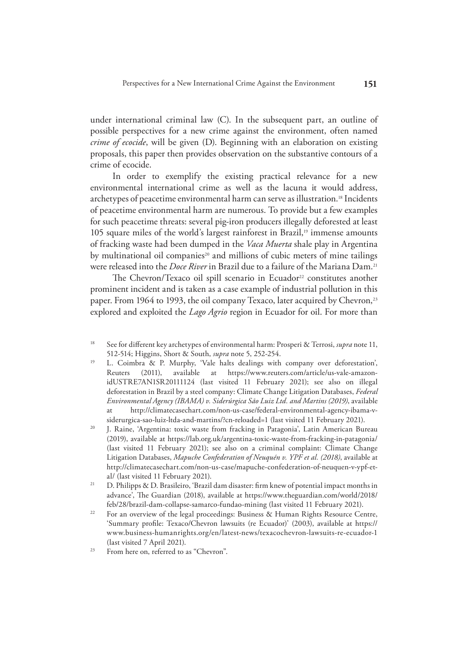under international criminal law (C). In the subsequent part, an outline of possible perspectives for a new crime against the environment, often named *crime of ecocide*, will be given (D). Beginning with an elaboration on existing proposals, this paper then provides observation on the substantive contours of a crime of ecocide.

In order to exemplify the existing practical relevance for a new environmental international crime as well as the lacuna it would address, archetypes of peacetime environmental harm can serve as illustration.<sup>18</sup> Incidents of peacetime environmental harm are numerous. To provide but a few examples for such peacetime threats: several pig-iron producers illegally deforested at least 105 square miles of the world's largest rainforest in Brazil,<sup>19</sup> immense amounts of fracking waste had been dumped in the *Vaca Muerta* shale play in Argentina by multinational oil companies<sup>20</sup> and millions of cubic meters of mine tailings were released into the *Doce River* in Brazil due to a failure of the Mariana Dam.21

The Chevron/Texaco oil spill scenario in Ecuador<sup>22</sup> constitutes another prominent incident and is taken as a case example of industrial pollution in this paper. From 1964 to 1993, the oil company Texaco, later acquired by Chevron,<sup>23</sup> explored and exploited the *Lago Agrio* region in Ecuador for oil. For more than

<sup>19</sup> L. Coimbra & P. Murphy, 'Vale halts dealings with company over deforestation', Reuters (2011), available at https://www.reuters.com/article/us-vale-amazonidUSTRE7AN1SR20111124 (last visited 11 February 2021); see also on illegal deforestation in Brazil by a steel company: Climate Change Litigation Databases, *Federal Environmental Agency (IBAMA) v. Siderúrgica São Luiz Ltd. and Martins (2019)*, available at http://climatecasechart.com/non-us-case/federal-environmental-agency-ibama-vsiderurgica-sao-luiz-ltda-and-martins/?cn-reloaded=1 (last visited 11 February 2021).<br>J. Raine, 'Argentina: toxic waste from fracking in Patagonia', Latin American Bureau

(2019), available at https://lab.org.uk/argentina-toxic-waste-from-fracking-in-patagonia/ (last visited 11 February 2021); see also on a criminal complaint: Climate Change Litigation Databases, *Mapuche Confederation of Neuquén v. YPF et al. (2018)*, available at http://climatecasechart.com/non-us-case/mapuche-confederation-of-neuquen-v-ypf-etal/ (last visited 11 February 2021).<br><sup>21</sup> D. Philipps & D. Brasileiro, 'Brazil dam disaster: firm knew of potential impact months in

- advance', The Guardian (2018), available at https://www.theguardian.com/world/2018/ feb/28/brazil-dam-collapse-samarco-fundao-mining (last visited 11 February 2021). 22 For an overview of the legal proceedings: Business & Human Rights Resource Centre,
- 'Summary profile: Texaco/Chevron lawsuits (re Ecuador)' (2003), available at https:// www.business-humanrights.org/en/latest-news/texacochevron-lawsuits-re-ecuador-1 (last visited 7 April 2021).
- 23 From here on, referred to as "Chevron".

<sup>18</sup> See for different key archetypes of environmental harm: Prosperi & Terrosi, *supra* note 11, 512-514; Higgins, Short & South, *supra* note 5, 252-254.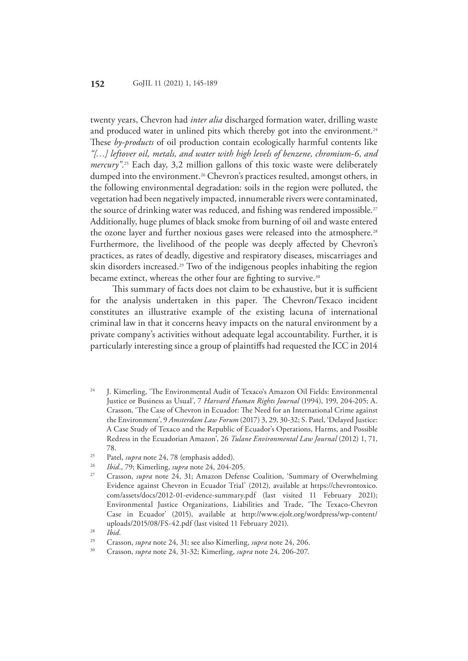twenty years, Chevron had *inter alia* discharged formation water, drilling waste and produced water in unlined pits which thereby got into the environment.<sup>24</sup> These *by-products* of oil production contain ecologically harmful contents like *"[…] leftover oil, metals, and water with high levels of benzene, chromium-6, and mercury"*. 25 Each day, 3,2 million gallons of this toxic waste were deliberately dumped into the environment.<sup>26</sup> Chevron's practices resulted, amongst others, in the following environmental degradation: soils in the region were polluted, the vegetation had been negatively impacted, innumerable rivers were contaminated, the source of drinking water was reduced, and fishing was rendered impossible.<sup>27</sup> Additionally, huge plumes of black smoke from burning of oil and waste entered the ozone layer and further noxious gases were released into the atmosphere.<sup>28</sup> Furthermore, the livelihood of the people was deeply affected by Chevron's practices, as rates of deadly, digestive and respiratory diseases, miscarriages and skin disorders increased.<sup>29</sup> Two of the indigenous peoples inhabiting the region became extinct, whereas the other four are fighting to survive.<sup>30</sup>

This summary of facts does not claim to be exhaustive, but it is sufficient for the analysis undertaken in this paper. The Chevron/Texaco incident constitutes an illustrative example of the existing lacuna of international criminal law in that it concerns heavy impacts on the natural environment by a private company's activities without adequate legal accountability. Further, it is particularly interesting since a group of plaintiffs had requested the ICC in 2014

- 24 J. Kimerling, 'The Environmental Audit of Texaco's Amazon Oil Fields: Environmental Justice or Business as Usual', 7 *Harvard Human Rights Journal* (1994), 199, 204-205; A. Crasson, 'The Case of Chevron in Ecuador: The Need for an International Crime against the Environment', 9 *Amsterdam Law Forum* (2017) 3, 29, 30-32; S. Patel, 'Delayed Justice: A Case Study of Texaco and the Republic of Ecuador's Operations, Harms, and Possible Redress in the Ecuadorian Amazon', 26 *Tulane Environmental Law Journal* (2012) 1, 71, 78.
- 
- 
- 25 Patel, *supra* note 24, 78 (emphasis added). 26 *Ibid*., 79; Kimerling, *supra* note 24, 204-205. 27 Crasson, *supra* note 24, 31; Amazon Defense Coalition, 'Summary of Overwhelming Evidence against Chevron in Ecuador Trial' (2012), available at https://chevrontoxico. com/assets/docs/2012-01-evidence-summary.pdf (last visited 11 February 2021); Environmental Justice Organizations, Liabilities and Trade, 'The Texaco-Chevron Case in Ecuador' (2015), available at http://www.ejolt.org/wordpress/wp-content/ uploads/2015/08/FS-42.pdf (last visited 11 February 2021).

30 Crasson, *supra* note 24, 31-32; Kimerling, *supra* note 24, 206-207.

<sup>28</sup> *Ibid*.

<sup>29</sup> Crasson, *supra* note 24, 31; see also Kimerling, *supra* note 24, 206.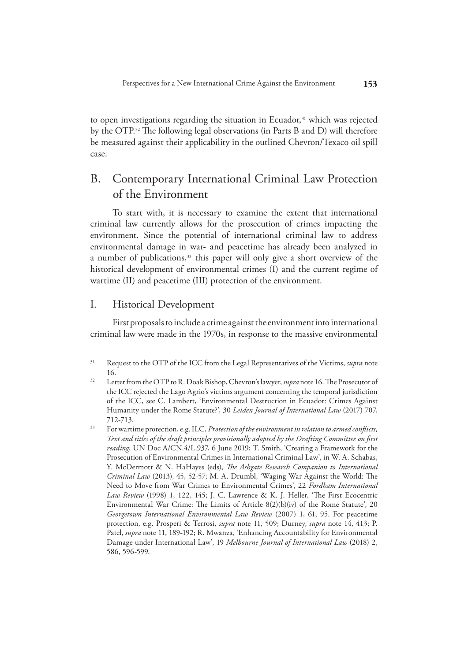<span id="page-8-0"></span>to open investigations regarding the situation in Ecuador,<sup>31</sup> which was rejected by the OTP.32 The following legal observations (in Parts B and D) will therefore be measured against their applicability in the outlined Chevron/Texaco oil spill case.

## B. Contemporary International Criminal Law Protection of the Environment

To start with, it is necessary to examine the extent that international criminal law currently allows for the prosecution of crimes impacting the environment. Since the potential of international criminal law to address environmental damage in war- and peacetime has already been analyzed in a number of publications,<sup>33</sup> this paper will only give a short overview of the historical development of environmental crimes (I) and the current regime of wartime (II) and peacetime (III) protection of the environment.

### I. Historical Development

First proposals to include a crime against the environment into international criminal law were made in the 1970s, in response to the massive environmental

- 31 Request to the OTP of the ICC from the Legal Representatives of the Victims, *supra* note
- 16. 32 Letter from the OTP to R. Doak Bishop, Chevron's lawyer, *supra* note 16. The Prosecutor of the ICC rejected the Lago Agrio's victims argument concerning the temporal jurisdiction of the ICC, see C. Lambert, 'Environmental Destruction in Ecuador: Crimes Against Humanity under the Rome Statute?', 30 *Leiden Journal of International Law* (2017) 707, 712-713.
- 33 For wartime protection, e.g. ILC, *Protection of the environment in relation to armed conflicts, Text and titles of the draft principles provisionally adopted by the Drafting Committee on first reading*, UN Doc A/CN.4/L.937, 6 June 2019; T. Smith, 'Creating a Framework for the Prosecution of Environmental Crimes in International Criminal Law', in W. A. Schabas, Y. McDermott & N. HaHayes (eds), *The Ashgate Research Companion to International Criminal Law* (2013), 45, 52-57; M. A. Drumbl, 'Waging War Against the World: The Need to Move from War Crimes to Environmental Crimes', 22 *Fordham International Law Review* (1998) 1, 122, 145; J. C. Lawrence & K. J. Heller, 'The First Ecocentric Environmental War Crime: The Limits of Article 8(2)(b)(iv) of the Rome Statute', 20 *Georgetown International Environmental Law Review* (2007) 1, 61, 95. For peacetime protection, e.g. Prosperi & Terrosi, *supra* note 11, 509; Durney, *supra* note 14, 413; P. Patel, *supra* note 11, 189-192; R. Mwanza, 'Enhancing Accountability for Environmental Damage under International Law', 19 *Melbourne Journal of International Law* (2018) 2, 586, 596-599.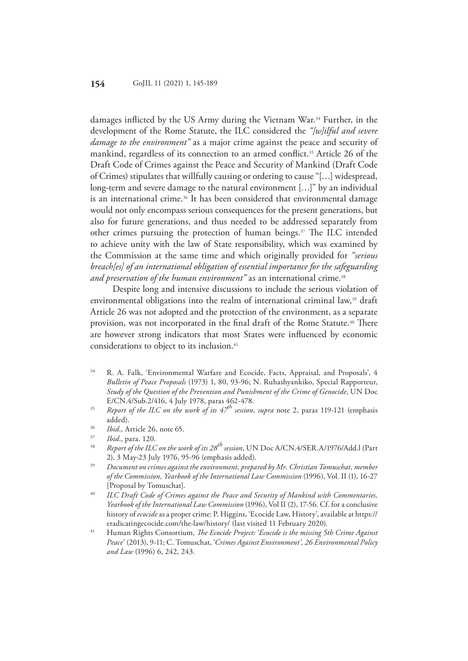damages inflicted by the US Army during the Vietnam War.34 Further, in the development of the Rome Statute, the ILC considered the *"[w]ilful and severe damage to the environment"* as a major crime against the peace and security of mankind, regardless of its connection to an armed conflict.<sup>35</sup> Article 26 of the Draft Code of Crimes against the Peace and Security of Mankind (Draft Code of Crimes) stipulates that willfully causing or ordering to cause "[…] widespread, long-term and severe damage to the natural environment […]" by an individual is an international crime.<sup>36</sup> It has been considered that environmental damage would not only encompass serious consequences for the present generations, but also for future generations, and thus needed to be addressed separately from other crimes pursuing the protection of human beings.<sup>37</sup> The ILC intended to achieve unity with the law of State responsibility, which was examined by the Commission at the same time and which originally provided for *"serious breach[es] of an international obligation of essential importance for the safeguarding*  and preservation of the human environment" as an international crime.<sup>38</sup>

Despite long and intensive discussions to include the serious violation of environmental obligations into the realm of international criminal law,<sup>39</sup> draft Article 26 was not adopted and the protection of the environment, as a separate provision, was not incorporated in the final draft of the Rome Statute.<sup>40</sup> There are however strong indicators that most States were influenced by economic considerations to object to its inclusion.<sup>41</sup>

- <sup>34</sup> R. A. Falk, 'Environmental Warfare and Ecocide, Facts, Appraisal, and Proposals', 4 *Bulletin of Peace Proposals* (1973) 1, 80, 93-96; N. Ruhashyankiko, Special Rapporteur, *Study of the Question of the Prevention and Punishment of the Crime of Genocide*, UN Doc E/CN.4/Sub.2/416, 4 July 1978, paras 462-478.
- <sup>35</sup> *Report of the ILC on the work of its*  $47^h$  *session, supra* note 2, paras 119-121 (emphasis added).
- Ibid., Article 26, note 65.

- 38 *Report of the ILC on the work of its 28th session*, UN Doc A/CN.4/SER.A/1976/Add.l (Part 2), 3 May-23 July 1976, 95-96 (emphasis added).
- 39 *Document on crimes against the environment, prepared by Mr. Christian Tomuschat, member of the Commission, Yearbook of the International Law Commission* (1996), Vol. II (1), 16-27 [Proposal by Tomuschat].
- 40 *ILC Draft Code of Crimes against the Peace and Security of Mankind with Commentaries, Yearbook of the International Law Commission* (1996), Vol II (2), 17-56. Cf. for a conclusive history of *ecocide* as a proper crime: P. Higgins, 'Ecocide Law, History', available at https:// eradicatingecocide.com/the-law/history/ (last visited 11 February 2020).
- 41 Human Rights Consortium, *The Ecocide Project:* '*Ecocide is the missing 5th Crime Against Peace*' (2013), 9-11; C. Tomuschat, '*Crimes Against Environment', 26 Environmental Policy and Law* (1996) 6, 242, 243.

<sup>37</sup> *Ibid*., para. 120.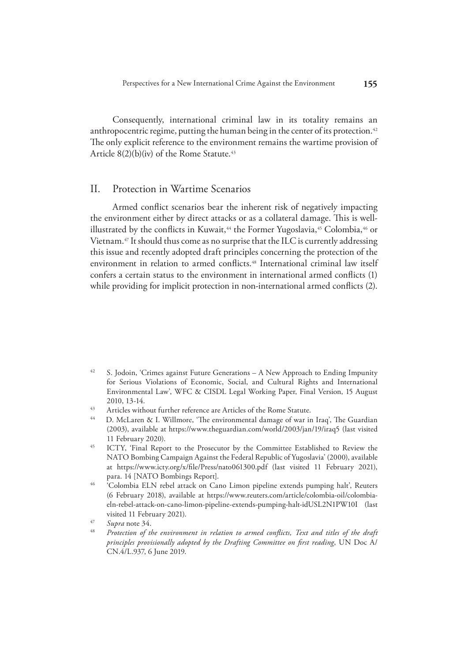<span id="page-10-0"></span>Consequently, international criminal law in its totality remains an anthropocentric regime, putting the human being in the center of its protection.<sup>42</sup> The only explicit reference to the environment remains the wartime provision of Article  $8(2)(b)(iv)$  of the Rome Statute.<sup>43</sup>

### II. Protection in Wartime Scenarios

Armed conflict scenarios bear the inherent risk of negatively impacting the environment either by direct attacks or as a collateral damage. This is wellillustrated by the conflicts in Kuwait,<sup>44</sup> the Former Yugoslavia,<sup>45</sup> Colombia,<sup>46</sup> or Vietnam.<sup>47</sup> It should thus come as no surprise that the ILC is currently addressing this issue and recently adopted draft principles concerning the protection of the environment in relation to armed conflicts.<sup>48</sup> International criminal law itself confers a certain status to the environment in international armed conflicts (1) while providing for implicit protection in non-international armed conflicts (2).

 $42$  S. Jodoin, 'Crimes against Future Generations  $-A$  New Approach to Ending Impunity for Serious Violations of Economic, Social, and Cultural Rights and International Environmental Law', WFC & CISDL Legal Working Paper, Final Version, 15 August 2010, 13-14.

<sup>43</sup> Articles without further reference are Articles of the Rome Statute.<br> $^{44}$  D MeLeron  $^{8}$  J Willmare. The environmental demage of we in

D. McLaren & I. Willmore, 'The environmental damage of war in Iraq', The Guardian (2003), available at https://www.theguardian.com/world/2003/jan/19/iraq5 (last visited 11 February 2020).

<sup>45</sup> ICTY, 'Final Report to the Prosecutor by the Committee Established to Review the NATO Bombing Campaign Against the Federal Republic of Yugoslavia' (2000), available at https://www.icty.org/x/file/Press/nato061300.pdf (last visited 11 February 2021), para. 14 [NATO Bombings Report].

<sup>46 &#</sup>x27;Colombia ELN rebel attack on Cano Limon pipeline extends pumping halt', Reuters (6 February 2018), available at https://www.reuters.com/article/colombia-oil/colombiaeln-rebel-attack-on-cano-limon-pipeline-extends-pumping-halt-idUSL2N1PW10I (last visited 11 February 2021).

<sup>47</sup> *Supra* note 34.

<sup>48</sup> *Protection of the environment in relation to armed conflicts, Text and titles of the draft principles provisionally adopted by the Drafting Committee on first reading*, UN Doc A/ CN.4/L.937, 6 June 2019.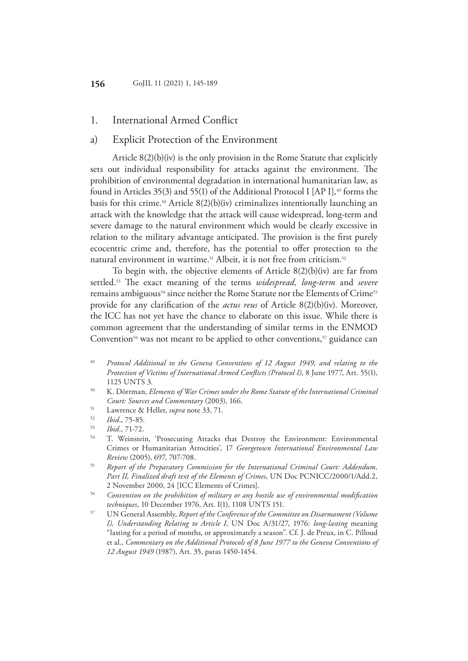### <span id="page-11-0"></span>1. International Armed Conflict

### a) Explicit Protection of the Environment

Article 8(2)(b)(iv) is the only provision in the Rome Statute that explicitly sets out individual responsibility for attacks against the environment. The prohibition of environmental degradation in international humanitarian law, as found in Articles 35(3) and 55(1) of the Additional Protocol I [AP I],  $49$  forms the basis for this crime.<sup>50</sup> Article  $8(2)(b)(iv)$  criminalizes intentionally launching an attack with the knowledge that the attack will cause widespread, long-term and severe damage to the natural environment which would be clearly excessive in relation to the military advantage anticipated. The provision is the first purely ecocentric crime and, therefore, has the potential to offer protection to the natural environment in wartime.<sup>51</sup> Albeit, it is not free from criticism.<sup>52</sup>

To begin with, the objective elements of Article 8(2)(b)(iv) are far from settled.53 The exact meaning of the terms *widespread, long-term* and *severe* remains ambiguous<sup>54</sup> since neither the Rome Statute nor the Elements of Crime<sup>55</sup> provide for any clarification of the *actus reus* of Article 8(2)(b)(iv). Moreover, the ICC has not yet have the chance to elaborate on this issue. While there is common agreement that the understanding of similar terms in the ENMOD Convention<sup>56</sup> was not meant to be applied to other conventions,<sup>57</sup> guidance can

- 49 *Protocol Additional to the Geneva Conventions of 12 August 1949, and relating to the Protection of Victims of International Armed Conflicts (Protocol I)*, 8 June 1977, Art. 55(1),
- <sup>50</sup> K. Dörrman, *Elements of War Crimes under the Rome Statute of the International Criminal Court: Sources and Commentary* (2003), 166.<br><sup>51</sup> Lawrence & Heller, *supra* note 33, 71.<br><sup>52</sup> Lied 75.95
- 
- 52 *Ibid*., 75-85.
- 53 *Ibid*., 71-72.
- 54 T. Weinstein, 'Prosecuting Attacks that Destroy the Environment: Environmental Crimes or Humanitarian Atrocities', 17 *Georgetown International Environmental Law Review* (2005), 697, 707-708.
- 55 *Report of the Preparatory Commission for the International Criminal Court: Addendum, Part II, Finalized draft text of the Elements of Crimes*, UN Doc PCNICC/2000/1/Add.2, 2 November 2000, 24 [ICC Elements of Crimes].
- 56 *Convention on the prohibition of military or any hostile use of environmental modification techniques*, 10 December 1976, Art. I(1), 1108 UNTS 151. 57 UN General Assembly, *Report of the Conference of the Committee on Disarmament (Volume*
- *I), Understanding Relating to Article I*, UN Doc A/31/27, 1976: *long-lasting* meaning "lasting for a period of months, or approximately a season". Cf. J. de Preux, in C. Pilloud et al., *Commentary on the Additional Protocols of 8 June 1977 to the Geneva Conventions of 12 August 1949* (1987), Art. 35, paras 1450-1454.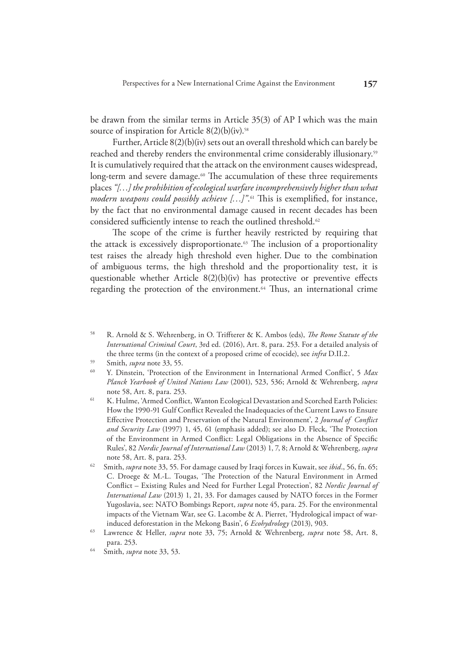be drawn from the similar terms in Article 35(3) of AP I which was the main source of inspiration for Article  $8(2)(b)(iv)$ .<sup>58</sup>

Further, Article 8(2)(b)(iv) sets out an overall threshold which can barely be reached and thereby renders the environmental crime considerably illusionary.59 It is cumulatively required that the attack on the environment causes widespread, long-term and severe damage.<sup>60</sup> The accumulation of these three requirements places *"[…] the prohibition of ecological warfare incomprehensively higher than what*  modern weapons could possibly achieve [...]".<sup>61</sup> This is exemplified, for instance, by the fact that no environmental damage caused in recent decades has been considered sufficiently intense to reach the outlined threshold.<sup>62</sup>

The scope of the crime is further heavily restricted by requiring that the attack is excessively disproportionate.<sup>63</sup> The inclusion of a proportionality test raises the already high threshold even higher. Due to the combination of ambiguous terms, the high threshold and the proportionality test, it is questionable whether Article 8(2)(b)(iv) has protective or preventive effects regarding the protection of the environment.<sup>64</sup> Thus, an international crime

- 58 R. Arnold & S. Wehrenberg, in O. Triffterer & K. Ambos (eds), *The Rome Statute of the International Criminal Court*, 3rd ed. (2016), Art. 8, para. 253. For a detailed analysis of the three terms (in the context of a proposed crime of ecocide), see *infra* D.II.2.
- Smith, *supra* note 33, 55.
- 60 Y. Dinstein, 'Protection of the Environment in International Armed Conflict', 5 *Max Planck Yearbook of United Nations Law* (2001), 523, 536; Arnold & Wehrenberg, *supra* note 58, Art. 8, para. 253.<br><sup>61</sup> K. Hulme, 'Armed Conflict, Wanton Ecological Devastation and Scorched Earth Policies:
- How the 1990-91 Gulf Conflict Revealed the Inadequacies of the Current Laws to Ensure Effective Protection and Preservation of the Natural Environment', 2 *Journal of Conflict and Security Law* (1997) 1, 45, 61 (emphasis added); see also D. Fleck, 'The Protection of the Environment in Armed Conflict: Legal Obligations in the Absence of Specific Rules', 82 *Nordic Journal of International Law* (2013) 1, 7, 8; Arnold & Wehrenberg, *supra* note 58, Art. 8, para. 253. 62 Smith, *supra* note 33, 55. For damage caused by Iraqi forces in Kuwait, see *ibid*., 56, fn. 65;
- C. Droege & M.-L. Tougas, 'The Protection of the Natural Environment in Armed Conflict – Existing Rules and Need for Further Legal Protection', 82 *Nordic Journal of International Law* (2013) 1, 21, 33. For damages caused by NATO forces in the Former Yugoslavia, see: NATO Bombings Report, *supra* note 45, para. 25. For the environmental impacts of the Vietnam War, see G. Lacombe & A. Pierret, 'Hydrological impact of warinduced deforestation in the Mekong Basin', 6 *Ecohydrology* (2013), 903.
- <sup>63</sup> Lawrence & Heller, *supra* note 33, 75; Arnold & Wehrenberg, *supra* note 58, Art. 8, para. 253. 64 Smith, *supra* note 33, 53.
-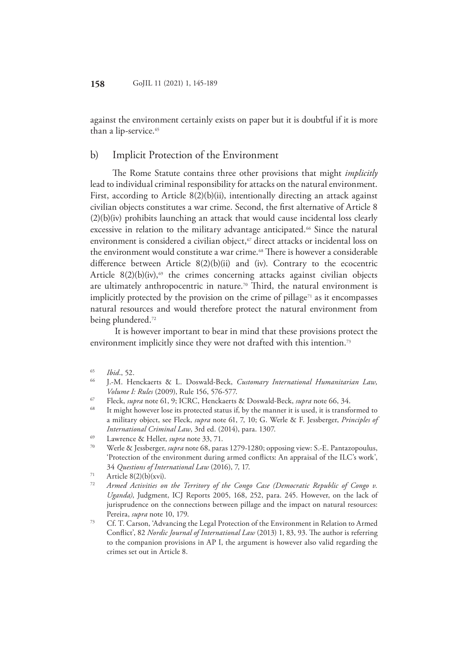<span id="page-13-0"></span>against the environment certainly exists on paper but it is doubtful if it is more than a lip-service.<sup>65</sup>

### b) Implicit Protection of the Environment

The Rome Statute contains three other provisions that might *implicitly* lead to individual criminal responsibility for attacks on the natural environment. First, according to Article 8(2)(b)(ii), intentionally directing an attack against civilian objects constitutes a war crime. Second, the first alternative of Article 8 (2)(b)(iv) prohibits launching an attack that would cause incidental loss clearly excessive in relation to the military advantage anticipated.<sup>66</sup> Since the natural environment is considered a civilian object, $\sigma$  direct attacks or incidental loss on the environment would constitute a war crime.<sup>68</sup> There is however a considerable difference between Article 8(2)(b)(ii) and (iv). Contrary to the ecocentric Article  $8(2)(b)(iv)$ ,<sup>69</sup> the crimes concerning attacks against civilian objects are ultimately anthropocentric in nature.<sup>70</sup> Third, the natural environment is implicitly protected by the provision on the crime of pillage $7<sup>1</sup>$  as it encompasses natural resources and would therefore protect the natural environment from being plundered.<sup>72</sup>

 It is however important to bear in mind that these provisions protect the environment implicitly since they were not drafted with this intention.<sup>73</sup>

- 67 Fleck, *supra* note 61, 9; ICRC, Henckaerts & Doswald-Beck, *supra* note 66, 34.
- $68$  It might however lose its protected status if, by the manner it is used, it is transformed to a military object, see Fleck, *supra* note 61, 7, 10; G. Werle & F. Jessberger, *Principles of International Criminal Law*, 3rd ed. (2014), para. 1307.

70 Werle & Jessberger, *supra* note 68, paras 1279-1280; opposing view: S.-E. Pantazopoulus, 'Protection of the environment during armed conflicts: An appraisal of the ILC's work', 34 *Questions of International Law* (2016), 7, 17.

<sup>65</sup> *Ibid*., 52.

<sup>66</sup> J.-M. Henckaerts & L. Doswald-Beck, *Customary International Humanitarian Law, Volume I: Rules* (2009), Rule 156, 576-577.

<sup>69</sup> Lawrence & Heller, *supra* note 33, 71.

<sup>71</sup> Article 8(2)(b)(xvi). 72 *Armed Activities on the Territory of the Congo Case (Democratic Republic of Congo v. Uganda)*, Judgment, ICJ Reports 2005, 168, 252, para. 245. However, on the lack of jurisprudence on the connections between pillage and the impact on natural resources: Pereira, *supra* note 10, 179.

<sup>73</sup> Cf. T. Carson, 'Advancing the Legal Protection of the Environment in Relation to Armed Conflict', 82 *Nordic Journal of International Law* (2013) 1, 83, 93. The author is referring to the companion provisions in AP I, the argument is however also valid regarding the crimes set out in Article 8.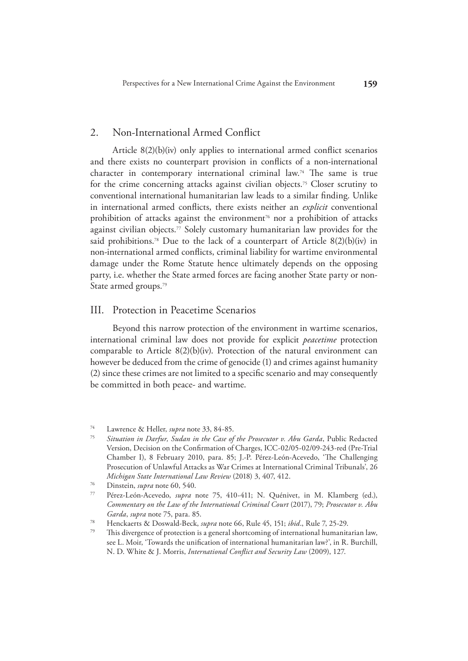### <span id="page-14-0"></span>2. Non-International Armed Conflict

Article 8(2)(b)(iv) only applies to international armed conflict scenarios and there exists no counterpart provision in conflicts of a non-international character in contemporary international criminal law.74 The same is true for the crime concerning attacks against civilian objects.<sup>75</sup> Closer scrutiny to conventional international humanitarian law leads to a similar finding. Unlike in international armed conflicts, there exists neither an *explicit* conventional prohibition of attacks against the environment<sup>76</sup> nor a prohibition of attacks against civilian objects.77 Solely customary humanitarian law provides for the said prohibitions.<sup>78</sup> Due to the lack of a counterpart of Article  $8(2)(b)(iv)$  in non-international armed conflicts, criminal liability for wartime environmental damage under the Rome Statute hence ultimately depends on the opposing party, i.e. whether the State armed forces are facing another State party or non-State armed groups.<sup>79</sup>

### III. Protection in Peacetime Scenarios

Beyond this narrow protection of the environment in wartime scenarios, international criminal law does not provide for explicit *peacetime* protection comparable to Article 8(2)(b)(iv). Protection of the natural environment can however be deduced from the crime of genocide (1) and crimes against humanity (2) since these crimes are not limited to a specific scenario and may consequently be committed in both peace- and wartime.

<sup>74</sup> Lawrence & Heller, *supra* note 33, 84-85. 75 *Situation in Darfur, Sudan in the Case of the Prosecutor v. Abu Garda*, Public Redacted Version, Decision on the Confirmation of Charges, ICC-02/05-02/09-243-red (Pre-Trial Chamber I), 8 February 2010, para. 85; J.-P. Pérez-León-Acevedo, 'The Challenging Prosecution of Unlawful Attacks as War Crimes at International Criminal Tribunals', 26 *Michigan State International Law Review* (2018) 3, 407, 412.<br><sup>76</sup> Dinstein, *supra* note 60, 540.<br><sup>77</sup> Dépendant de la coura note 75, 410, 411. N. Ovénir

Pérez-León-Acevedo, *supra* note 75, 410-411; N. Quénivet, in M. Klamberg (ed.), *Commentary on the Law of the International Criminal Court* (2017), 79; *Prosecutor v. Abu Garda*, *supra* note 75, para. 85.

<sup>78</sup> Henckaerts & Doswald-Beck, *supra* note 66, Rule 45, 151; *ibid*., Rule 7, 25-29.

This divergence of protection is a general shortcoming of international humanitarian law, see L. Moir, 'Towards the unification of international humanitarian law?', in R. Burchill, N. D. White & J. Morris, *International Conflict and Security Law* (2009), 127.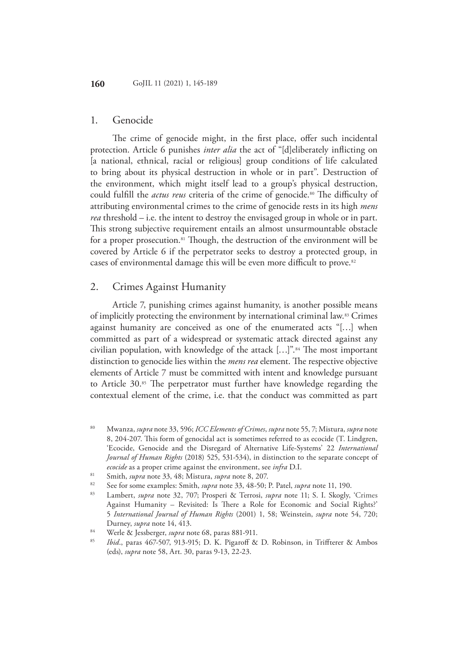### <span id="page-15-0"></span>1. Genocide

The crime of genocide might, in the first place, offer such incidental protection. Article 6 punishes *inter alia* the act of "[d]eliberately inflicting on [a national, ethnical, racial or religious] group conditions of life calculated to bring about its physical destruction in whole or in part". Destruction of the environment, which might itself lead to a group's physical destruction, could fulfill the *actus reus* criteria of the crime of genocide.<sup>80</sup> The difficulty of attributing environmental crimes to the crime of genocide rests in its high *mens rea* threshold – i.e. the intent to destroy the envisaged group in whole or in part. This strong subjective requirement entails an almost unsurmountable obstacle for a proper prosecution.<sup>81</sup> Though, the destruction of the environment will be covered by Article 6 if the perpetrator seeks to destroy a protected group, in cases of environmental damage this will be even more difficult to prove.<sup>82</sup>

### 2. Crimes Against Humanity

Article 7, punishing crimes against humanity, is another possible means of implicitly protecting the environment by international criminal law.83 Crimes against humanity are conceived as one of the enumerated acts "[…] when committed as part of a widespread or systematic attack directed against any civilian population, with knowledge of the attack […]".84 The most important distinction to genocide lies within the *mens rea* element. The respective objective elements of Article 7 must be committed with intent and knowledge pursuant to Article 30.85 The perpetrator must further have knowledge regarding the contextual element of the crime, i.e. that the conduct was committed as part

- <sup>80</sup> Mwanza, *supra* note 33, 596; *ICC Elements of Crimes*, *supra* note 55, 7; Mistura, *supra* note 8, 204-207. This form of genocidal act is sometimes referred to as ecocide (T. Lindgren, 'Ecocide, Genocide and the Disregard of Alternative Life-Systems' 22 *International Journal of Human Rights* (2018) 525, 531-534), in distinction to the separate concept of *ecocide* as a proper crime against the environment, see *infra* D.I.
- 81 Smith, *supra* note 33, 48; Mistura, *supra* note 8, 207.
- 82 See for some examples: Smith, *supra* note 33, 48-50; P. Patel, *supra* note 11, 190.
- 83 Lambert, *supra* note 32, 707; Prosperi & Terrosi, *supra* note 11; S. I. Skogly, 'Crimes Against Humanity – Revisited: Is There a Role for Economic and Social Rights?' 5 *International Journal of Human Rights* (2001) 1, 58; Weinstein, *supra* note 54, 720; Durney, *supra* note 14, 413.
- 84 Werle & Jessberger, *supra* note 68, paras 881-911.
- 85 *Ibid*., paras 467-507, 913-915; D. K. Pigaroff & D. Robinson, in Triffterer & Ambos (eds), *supra* note 58, Art. 30, paras 9-13, 22-23.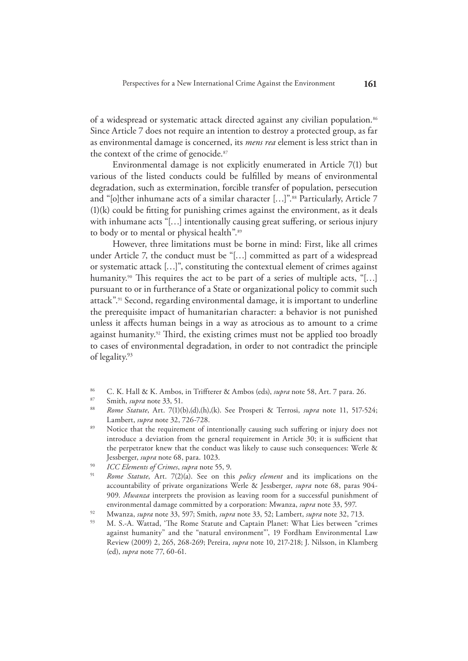of a widespread or systematic attack directed against any civilian population.<sup>86</sup> Since Article 7 does not require an intention to destroy a protected group, as far as environmental damage is concerned, its *mens rea* element is less strict than in the context of the crime of genocide.<sup>87</sup>

Environmental damage is not explicitly enumerated in Article 7(1) but various of the listed conducts could be fulfilled by means of environmental degradation, such as extermination, forcible transfer of population, persecution and "[o]ther inhumane acts of a similar character [...]".<sup>88</sup> Particularly, Article 7 (1)(k) could be fitting for punishing crimes against the environment, as it deals with inhumane acts "[...] intentionally causing great suffering, or serious injury to body or to mental or physical health".<sup>89</sup>

However, three limitations must be borne in mind: First, like all crimes under Article 7, the conduct must be "[…] committed as part of a widespread or systematic attack […]", constituting the contextual element of crimes against humanity.<sup>90</sup> This requires the act to be part of a series of multiple acts, "[...] pursuant to or in furtherance of a State or organizational policy to commit such attack".91 Second, regarding environmental damage, it is important to underline the prerequisite impact of humanitarian character: a behavior is not punished unless it affects human beings in a way as atrocious as to amount to a crime against humanity.<sup>92</sup> Third, the existing crimes must not be applied too broadly to cases of environmental degradation, in order to not contradict the principle of legality.93

- 86 C. K. Hall & K. Ambos, in Triffterer & Ambos (eds), *supra* note 58, Art. 7 para. 26.
- 87 Smith, *supra* note 33, 51.

Notice that the requirement of intentionally causing such suffering or injury does not introduce a deviation from the general requirement in Article 30; it is sufficient that the perpetrator knew that the conduct was likely to cause such consequences: Werle & Jessberger, *supra* note 68, para. 1023.

- 92 Mwanza, *supra* note 33, 597; Smith, *supra* note 33, 52; Lambert, *supra* note 32, 713.
- 93 M. S.-A. Wattad, 'The Rome Statute and Captain Planet: What Lies between "crimes against humanity" and the "natural environment"', 19 Fordham Environmental Law Review (2009) 2, 265, 268-269; Pereira, *supra* note 10, 217-218; J. Nilsson, in Klamberg (ed), *supra* note 77, 60-61.

<sup>88</sup> *Rome Statute*, Art. 7(1)(b),(d),(h),(k). See Prosperi & Terrosi, *supra* note 11, 517-524; Lambert, *supra* note 32, 726-728.

<sup>90</sup> *ICC Elements of Crimes*, *supra* note 55, 9.

<sup>91</sup> *Rome Statute*, Art. 7(2)(a). See on this *policy element* and its implications on the accountability of private organizations Werle & Jessberger, *supra* note 68, paras 904- 909. *Mwanza* interprets the provision as leaving room for a successful punishment of environmental damage committed by a corporation: Mwanza, *supra* note 33, 597.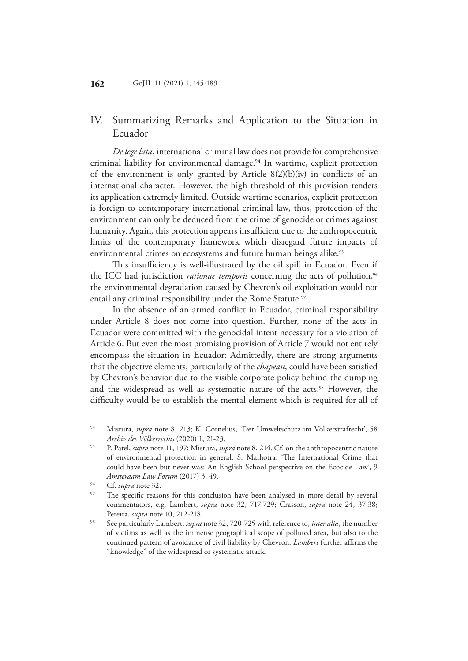## <span id="page-17-0"></span>IV. Summarizing Remarks and Application to the Situation in Ecuador

*De lege lata*, international criminal law does not provide for comprehensive criminal liability for environmental damage.<sup>94</sup> In wartime, explicit protection of the environment is only granted by Article  $8(2)(b)(iv)$  in conflicts of an international character. However, the high threshold of this provision renders its application extremely limited. Outside wartime scenarios, explicit protection is foreign to contemporary international criminal law, thus, protection of the environment can only be deduced from the crime of genocide or crimes against humanity. Again, this protection appears insufficient due to the anthropocentric limits of the contemporary framework which disregard future impacts of environmental crimes on ecosystems and future human beings alike.<sup>95</sup>

This insufficiency is well-illustrated by the oil spill in Ecuador. Even if the ICC had jurisdiction *rationae temporis* concerning the acts of pollution,<sup>96</sup> the environmental degradation caused by Chevron's oil exploitation would not entail any criminal responsibility under the Rome Statute.<sup>97</sup>

In the absence of an armed conflict in Ecuador, criminal responsibility under Article 8 does not come into question. Further, none of the acts in Ecuador were committed with the genocidal intent necessary for a violation of Article 6. But even the most promising provision of Article 7 would not entirely encompass the situation in Ecuador: Admittedly, there are strong arguments that the objective elements, particularly of the *chapeau*, could have been satisfied by Chevron's behavior due to the visible corporate policy behind the dumping and the widespread as well as systematic nature of the acts.<sup>98</sup> However, the difficulty would be to establish the mental element which is required for all of

95 P. Patel, *supra* note 11, 197; Mistura, *supra* note 8, 214. Cf. on the anthropocentric nature of environmental protection in general: S. Malhotra, 'The International Crime that could have been but never was: An English School perspective on the Ecocide Law', 9 *Amsterdam Law Forum* (2017) 3, 49.

<sup>94</sup> Mistura, *supra* note 8, 213; K. Cornelius, 'Der Umweltschutz im Völkerstrafrecht', 58 *Archiv des Völkerrechts* (2020) 1, 21-23.

Cf. *supra* note 32.

The specific reasons for this conclusion have been analysed in more detail by several commentators, e.g. Lambert, *supra* note 32, 717-729; Crasson, *supra* note 24, 37-38; Pereira, *supra* note 10, 212-218.

<sup>98</sup> See particularly Lambert, *supra* note 32, 720-725 with reference to, *inter alia*, the number of victims as well as the immense geographical scope of polluted area, but also to the continued pattern of avoidance of civil liability by Chevron. *Lambert* further affirms the "knowledge" of the widespread or systematic attack.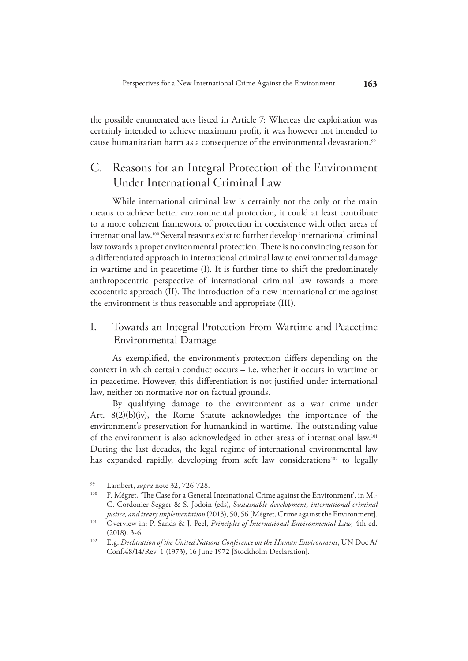<span id="page-18-0"></span>the possible enumerated acts listed in Article 7: Whereas the exploitation was certainly intended to achieve maximum profit, it was however not intended to cause humanitarian harm as a consequence of the environmental devastation.<sup>99</sup>

## C. Reasons for an Integral Protection of the Environment Under International Criminal Law

While international criminal law is certainly not the only or the main means to achieve better environmental protection, it could at least contribute to a more coherent framework of protection in coexistence with other areas of international law.100 Several reasons exist to further develop international criminal law towards a proper environmental protection. There is no convincing reason for a differentiated approach in international criminal law to environmental damage in wartime and in peacetime (I). It is further time to shift the predominately anthropocentric perspective of international criminal law towards a more ecocentric approach (II). The introduction of a new international crime against the environment is thus reasonable and appropriate (III).

## I. Towards an Integral Protection From Wartime and Peacetime Environmental Damage

As exemplified, the environment's protection differs depending on the context in which certain conduct occurs – i.e. whether it occurs in wartime or in peacetime. However, this differentiation is not justified under international law, neither on normative nor on factual grounds.

By qualifying damage to the environment as a war crime under Art. 8(2)(b)(iv), the Rome Statute acknowledges the importance of the environment's preservation for humankind in wartime. The outstanding value of the environment is also acknowledged in other areas of international law.101 During the last decades, the legal regime of international environmental law has expanded rapidly, developing from soft law considerations<sup>102</sup> to legally

<sup>&</sup>lt;sup>99</sup> Lambert, *supra* note 32, 726-728.

F. Mégret, 'The Case for a General International Crime against the Environment', in M.-C. Cordonier Segger & S. Jodoin (eds), S*ustainable development, international criminal justice, and treaty implementation* (2013), 50, 56 [Mégret, Crime against the Environment].

<sup>101</sup> Overview in: P. Sands & J. Peel, *Principles of International Environmental Law*, 4th ed. (2018), 3-6.

<sup>102</sup> E.g. *Declaration of the United Nations Conference on the Human Environment*, UN Doc A/ Conf.48/14/Rev. 1 (1973), 16 June 1972 [Stockholm Declaration].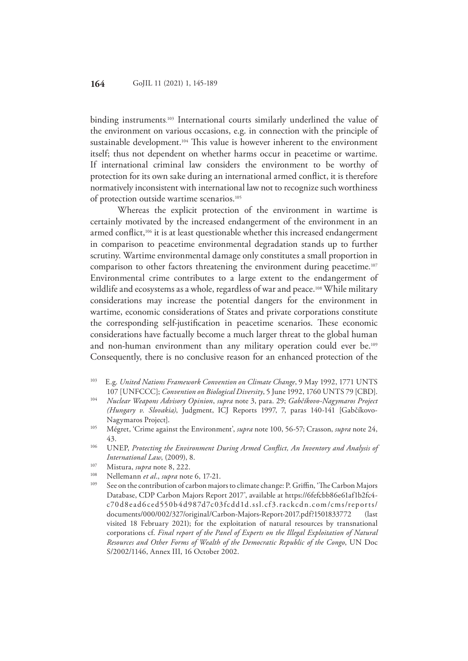binding instruments. 103 International courts similarly underlined the value of the environment on various occasions, e.g. in connection with the principle of sustainable development.<sup>104</sup> This value is however inherent to the environment itself; thus not dependent on whether harms occur in peacetime or wartime. If international criminal law considers the environment to be worthy of protection for its own sake during an international armed conflict, it is therefore normatively inconsistent with international law not to recognize such worthiness of protection outside wartime scenarios.105

 Whereas the explicit protection of the environment in wartime is certainly motivated by the increased endangerment of the environment in an armed conflict,106 it is at least questionable whether this increased endangerment in comparison to peacetime environmental degradation stands up to further scrutiny. Wartime environmental damage only constitutes a small proportion in comparison to other factors threatening the environment during peacetime.<sup>107</sup> Environmental crime contributes to a large extent to the endangerment of wildlife and ecosystems as a whole, regardless of war and peace.<sup>108</sup> While military considerations may increase the potential dangers for the environment in wartime, economic considerations of States and private corporations constitute the corresponding self-justification in peacetime scenarios. These economic considerations have factually become a much larger threat to the global human and non-human environment than any military operation could ever be.<sup>109</sup> Consequently, there is no conclusive reason for an enhanced protection of the

- 103 E.g. *United Nations Framework Convention on Climate Change*, 9 May 1992, 1771 UNTS 107 [UNFCCC]; *Convention on Biological Diversity*, 5 June 1992, 1760 UNTS 79 [CBD].
- 104 *Nuclear Weapons Advisory Opinion*, *supra* note 3, para. 29; *Gabčíkovo-Nagymaros Project (Hungary v. Slovakia)*, Judgment, ICJ Reports 1997, 7, paras 140-141 [Gabčíkovo-Nagymaros Project].
- 105 Mégret, 'Crime against the Environment', *supra* note 100, 56-57; Crasson, *supra* note 24, 43.
- <sup>106</sup> UNEP, *Protecting the Environment During Armed Conflict, An Inventory and Analysis of International Law*, (2009), 8.
- 
- 107 Mistura, *supra* note 8, 222.<br>
108 Nellemann *et al.*, *supra* note 6, 17-21.<br>
109 See on the contribution of carbon major
- See on the contribution of carbon majors to climate change: P. Griffin, 'The Carbon Majors' Database, CDP Carbon Majors Report 2017', available at https://6fefcbb86e61af1b2fc4 c70d8ead6ced550b4d987d7c03fcdd1d.ssl.cf 3.rackcdn.com/cms/reports/ documents/000/002/327/original/Carbon-Majors-Report-2017.pdf?1501833772 (last visited 18 February 2021); for the exploitation of natural resources by transnational corporations cf. *Final report of the Panel of Experts on the Illegal Exploitation of Natural Resources and Other Forms of Wealth of the Democratic Republic of the Congo*, UN Doc S/2002/1146, Annex III, 16 October 2002.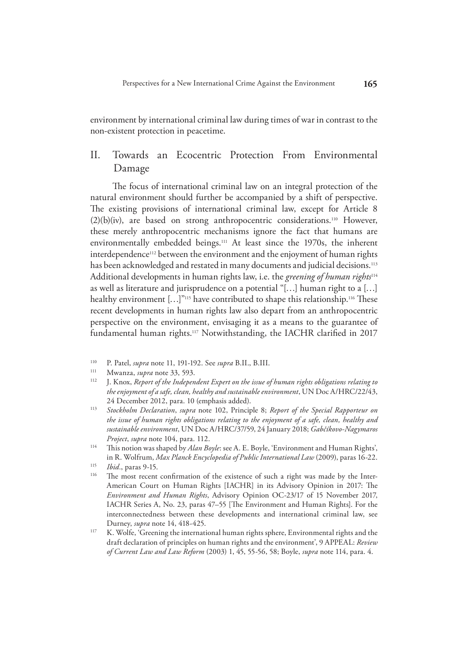<span id="page-20-0"></span>environment by international criminal law during times of war in contrast to the non-existent protection in peacetime.

## II. Towards an Ecocentric Protection From Environmental Damage

The focus of international criminal law on an integral protection of the natural environment should further be accompanied by a shift of perspective. The existing provisions of international criminal law, except for Article 8 (2)(b)(iv), are based on strong anthropocentric considerations.110 However, these merely anthropocentric mechanisms ignore the fact that humans are environmentally embedded beings.111 At least since the 1970s, the inherent interdependence<sup>112</sup> between the environment and the enjoyment of human rights has been acknowledged and restated in many documents and judicial decisions.<sup>113</sup> Additional developments in human rights law, i.e. the *greening of human rights*<sup>114</sup> as well as literature and jurisprudence on a potential "[…] human right to a […] healthy environment  $[...]^{v_{115}}$  have contributed to shape this relationship.<sup>116</sup> These recent developments in human rights law also depart from an anthropocentric perspective on the environment, envisaging it as a means to the guarantee of fundamental human rights.<sup>117</sup> Notwithstanding, the IACHR clarified in 2017

- 113 *Stockholm Declaration*, *supra* note 102, Principle 8; *Report of the Special Rapporteur on the issue of human rights obligations relating to the enjoyment of a safe, clean, healthy and sustainable environment*, UN Doc A/HRC/37/59, 24 January 2018; *Gabčíkovo-Nagymaros Project*, *supra* note 104, para. 112.
- 114 This notion was shaped by *Alan Boyle*: see A. E. Boyle, 'Environment and Human Rights', in R. Wolfrum, *Max Planck Encyclopedia of Public International Law* (2009), paras 16-22.

<sup>110</sup> P. Patel, *supra* note 11, 191-192. See *supra* B.II., B.III.

<sup>&</sup>lt;sup>111</sup> Mwanza, *supra* note 33, 593.

<sup>112</sup> J. Knox, *Report of the Independent Expert on the issue of human rights obligations relating to the enjoyment of a safe, clean, healthy and sustainable environment*, UN Doc A/HRC/22/43, 24 December 2012, para. 10 (emphasis added).

<sup>115</sup> *Ibid.*, paras 9-15.

The most recent confirmation of the existence of such a right was made by the Inter-American Court on Human Rights [IACHR] in its Advisory Opinion in 2017: The *Environment and Human Rights*, Advisory Opinion OC-23/17 of 15 November 2017, IACHR Series A, No. 23, paras 47–55 [The Environment and Human Rights]. For the interconnectedness between these developments and international criminal law, see Durney, *supra* note 14, 418-425.

<sup>117</sup> K. Wolfe, 'Greening the international human rights sphere, Environmental rights and the draft declaration of principles on human rights and the environment', 9 APPEAL: *Review of Current Law and Law Reform* (2003) 1, 45, 55-56, 58; Boyle, *supra* note 114, para. 4.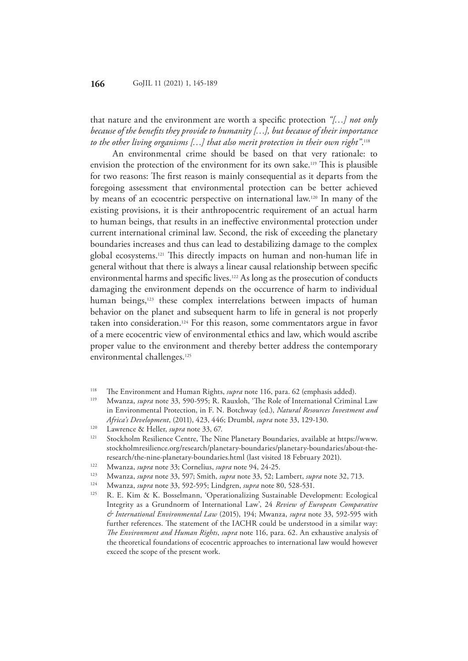that nature and the environment are worth a specific protection *"[…] not only because of the benefits they provide to humanity […], but because of their importance to the other living organisms […] that also merit protection in their own right"*. 118

An environmental crime should be based on that very rationale: to envision the protection of the environment for its own sake.<sup>119</sup> This is plausible for two reasons: The first reason is mainly consequential as it departs from the foregoing assessment that environmental protection can be better achieved by means of an ecocentric perspective on international law.120 In many of the existing provisions, it is their anthropocentric requirement of an actual harm to human beings, that results in an ineffective environmental protection under current international criminal law. Second, the risk of exceeding the planetary boundaries increases and thus can lead to destabilizing damage to the complex global ecosystems.121 This directly impacts on human and non-human life in general without that there is always a linear causal relationship between specific environmental harms and specific lives.<sup>122</sup> As long as the prosecution of conducts damaging the environment depends on the occurrence of harm to individual human beings,<sup>123</sup> these complex interrelations between impacts of human behavior on the planet and subsequent harm to life in general is not properly taken into consideration.124 For this reason, some commentators argue in favor of a mere ecocentric view of environmental ethics and law, which would ascribe proper value to the environment and thereby better address the contemporary environmental challenges.<sup>125</sup>

- <sup>118</sup> The Environment and Human Rights, *supra* note 116, para. 62 (emphasis added).<br><sup>119</sup> Muyang, *supra* note <sup>33</sup>, 500, 505, P. Pauyleh 'The Pole of International Crimin
- 119 Mwanza, *supra* note 33, 590-595; R. Rauxloh, 'The Role of International Criminal Law in Environmental Protection, in F. N. Botchway (ed.), *Natural Resources Investment and Africa's Development*, (2011), 423, 446; Drumbl, *supra* note 33, 129-130.
- <sup>120</sup> Lawrence & Heller, *supra* note 33, 67.
- Stockholm Resilience Centre, The Nine Planetary Boundaries, available at https://www. stockholmresilience.org/research/planetary-boundaries/planetary-boundaries/about-theresearch/the-nine-planetary-boundaries.html (last visited 18 February 2021).
- <sup>122</sup> Mwanza, *supra* note 33; Cornelius, *supra* note 94, 24-25.
- <sup>123</sup> Mwanza, *supra* note 33, 597; Smith, *supra* note 33, 52; Lambert, *supra* note 32, 713.
- <sup>124</sup> Mwanza, *supra* note 33, 592-595; Lindgren, *supra* note 80, 528-531.
- R. E. Kim & K. Bosselmann, 'Operationalizing Sustainable Development: Ecological Integrity as a Grundnorm of International Law', 24 *Review of European Comparative & International Environmental Law* (2015), 194; Mwanza, *supra* note 33, 592-595 with further references. The statement of the IACHR could be understood in a similar way: *The Environment and Human Rights*, *supra* note 116, para. 62. An exhaustive analysis of the theoretical foundations of ecocentric approaches to international law would however exceed the scope of the present work.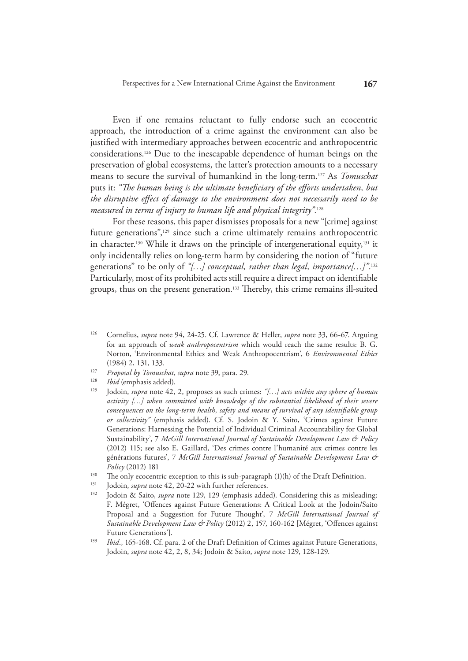Even if one remains reluctant to fully endorse such an ecocentric approach, the introduction of a crime against the environment can also be justified with intermediary approaches between ecocentric and anthropocentric considerations.126 Due to the inescapable dependence of human beings on the preservation of global ecosystems, the latter's protection amounts to a necessary means to secure the survival of humankind in the long-term.127 As *Tomuschat* puts it: *"The human being is the ultimate beneficiary of the efforts undertaken, but the disruptive effect of damage to the environment does not necessarily need to be measured in terms of injury to human life and physical integrity".*<sup>128</sup>

For these reasons, this paper dismisses proposals for a new "[crime] against future generations",<sup>129</sup> since such a crime ultimately remains anthropocentric in character.130 While it draws on the principle of intergenerational equity,131 it only incidentally relies on long-term harm by considering the notion of "future generations" to be only of *"[…] conceptual, rather than legal, importance[…]"*. 132 Particularly, most of its prohibited acts still require a direct impact on identifiable groups, thus on the present generation.133 Thereby, this crime remains ill-suited

<sup>127</sup> *Proposal by Tomuschat*, *supra* note 39, para. 29.

- <sup>129</sup> Jodoin, *supra* note 42, 2, proposes as such crimes: *"[…] acts within any sphere of human activity […] when committed with knowledge of the substantial likelihood of their severe consequences on the long-term health, safety and means of survival of any identifiable group or collectivity"* (emphasis added). Cf. S. Jodoin & Y. Saito, 'Crimes against Future Generations: Harnessing the Potential of Individual Criminal Accountability for Global Sustainability', 7 *McGill International Journal of Sustainable Development Law & Policy* (2012) 115; see also E. Gaillard, 'Des crimes contre l'humanité aux crimes contre les générations futures', 7 *McGill International Journal of Sustainable Development Law & Policy* (2012) 181
- <sup>130</sup> The only ecocentric exception to this is sub-paragraph  $(1)(h)$  of the Draft Definition.<br><sup>131</sup> Iodoin, *subse pote* 42, 20, 22 with further references.
- <sup>131</sup> Jodoin, *supra* note 42, 20-22 with further references.
- 132 Jodoin & Saito, *supra* note 129, 129 (emphasis added). Considering this as misleading: F. Mégret, 'Offences against Future Generations: A Critical Look at the Jodoin/Saito Proposal and a Suggestion for Future Thought', 7 *McGill International Journal of Sustainable Development Law & Policy* (2012) 2, 157, 160-162 [Mégret, 'Offences against Future Generations'].
- <sup>133</sup> *Ibid.*, 165-168. Cf. para. 2 of the Draft Definition of Crimes against Future Generations, Jodoin, *supra* note 42, 2, 8, 34; Jodoin & Saito, *supra* note 129, 128-129.

<sup>126</sup> Cornelius, *supra* note 94, 24-25. Cf. Lawrence & Heller, *supra* note 33, 66-67. Arguing for an approach of *weak anthropocentrism* which would reach the same results: B. G. Norton, 'Environmental Ethics and Weak Anthropocentrism', 6 *Environmental Ethics*  (1984) 2, 131, 133.

<sup>128</sup> *Ibid* (emphasis added).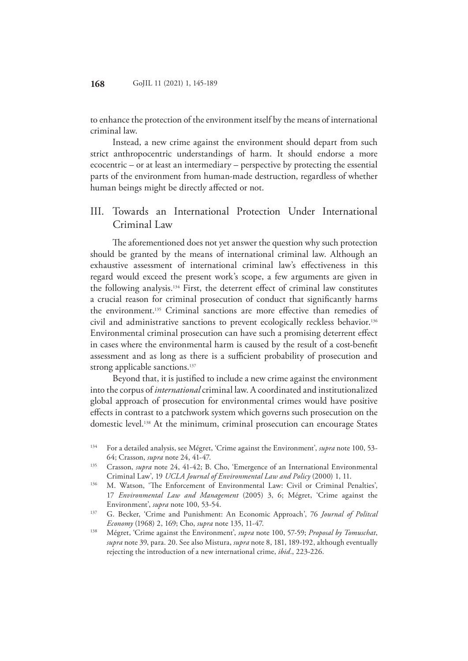<span id="page-23-0"></span>to enhance the protection of the environment itself by the means of international criminal law.

Instead, a new crime against the environment should depart from such strict anthropocentric understandings of harm. It should endorse a more ecocentric – or at least an intermediary – perspective by protecting the essential parts of the environment from human-made destruction, regardless of whether human beings might be directly affected or not.

III. Towards an International Protection Under International Criminal Law

The aforementioned does not yet answer the question why such protection should be granted by the means of international criminal law. Although an exhaustive assessment of international criminal law's effectiveness in this regard would exceed the present work's scope, a few arguments are given in the following analysis.134 First, the deterrent effect of criminal law constitutes a crucial reason for criminal prosecution of conduct that significantly harms the environment.135 Criminal sanctions are more effective than remedies of civil and administrative sanctions to prevent ecologically reckless behavior.136 Environmental criminal prosecution can have such a promising deterrent effect in cases where the environmental harm is caused by the result of a cost-benefit assessment and as long as there is a sufficient probability of prosecution and strong applicable sanctions.<sup>137</sup>

Beyond that, it is justified to include a new crime against the environment into the corpus of *international* criminal law. A coordinated and institutionalized global approach of prosecution for environmental crimes would have positive effects in contrast to a patchwork system which governs such prosecution on the domestic level.138 At the minimum, criminal prosecution can encourage States

<sup>134</sup> For a detailed analysis, see Mégret, 'Crime against the Environment', *supra* note 100, 53- 64; Crasson, *supra* note 24, 41-47.

- 136 M. Watson, 'The Enforcement of Environmental Law: Civil or Criminal Penalties', 17 *Environmental Law and Management* (2005) 3, 6; Mégret, 'Crime against the Environment', *supra* note 100, 53-54.
- 137 G. Becker, 'Crime and Punishment: An Economic Approach', 76 *Journal of Politcal Economy* (1968) 2, 169; Cho, *supra* note 135, 11-47.
- <sup>138</sup> Mégret, 'Crime against the Environment', *supra* note 100, 57-59; *Proposal by Tomuschat*, *supra* note 39, para. 20. See also Mistura, *supra* note 8, 181, 189-192, although eventually rejecting the introduction of a new international crime, *ibid*., 223-226.

<sup>135</sup> Crasson, *supra* note 24, 41-42; B. Cho, 'Emergence of an International Environmental Criminal Law', 19 *UCLA Journal of Environmental Law and Policy* (2000) 1, 11.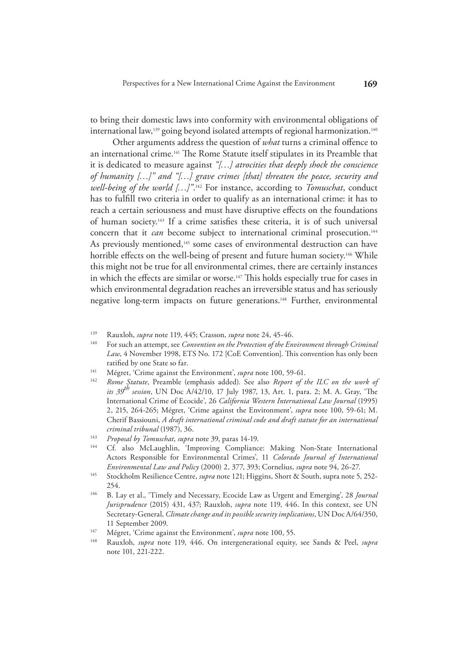to bring their domestic laws into conformity with environmental obligations of international law,<sup>139</sup> going beyond isolated attempts of regional harmonization.<sup>140</sup>

Other arguments address the question of *what* turns a criminal offence to an international crime.141 The Rome Statute itself stipulates in its Preamble that it is dedicated to measure against *"[…] atrocities that deeply shock the conscience of humanity […]" and "[…] grave crimes [that] threaten the peace, security and well-being of the world […]"*. 142 For instance, according to *Tomuschat*, conduct has to fulfill two criteria in order to qualify as an international crime: it has to reach a certain seriousness and must have disruptive effects on the foundations of human society.143 If a crime satisfies these criteria, it is of such universal concern that it *can* become subject to international criminal prosecution.<sup>144</sup> As previously mentioned,<sup>145</sup> some cases of environmental destruction can have horrible effects on the well-being of present and future human society.<sup>146</sup> While this might not be true for all environmental crimes, there are certainly instances in which the effects are similar or worse.<sup>147</sup> This holds especially true for cases in which environmental degradation reaches an irreversible status and has seriously negative long-term impacts on future generations.148 Further, environmental

- 140 For such an attempt, see *Convention on the Protection of the Environment through Criminal Law*, 4 November 1998, ETS No. 172 [CoE Convention]. This convention has only been ratified by one State so far.
- 141 Mégret, 'Crime against the Environment', *supra* note 100, 59-61.
- 142 *Rome Statute*, Preamble (emphasis added). See also *Report of the ILC on the work of its 39th session*, UN Doc A/42/10, 17 July 1987, 13, Art. 1, para. 2; M. A. Gray, 'The International Crime of Ecocide', 26 *California Western International Law Journal* (1995) 2, 215, 264-265; Mégret, 'Crime against the Environment', *supra* note 100, 59-61; M. Cherif Bassiouni, *A draft international criminal code and draft statute for an international criminal tribunal* (1987), 36.

- Cf. also McLaughlin, 'Improving Compliance: Making Non-State International Actors Responsible for Environmental Crimes', 11 *Colorado Journal of International Environmental Law and Policy* (2000) 2, 377, 393; Cornelius, *supra* note 94, 26-27.
- 145 Stockholm Resilience Centre, *supra* note 121; Higgins, Short & South, supra note 5, 252- 254.
- 146 B. Lay et al., 'Timely and Necessary, Ecocide Law as Urgent and Emerging', 28 *Journal Jurisprudence* (2015) 431, 437; Rauxloh, *supra* note 119, 446. In this context, see UN Secretary-General, *Climate change and its possible security implications*, UN Doc A/64/350, 11 September 2009.
- 147 Mégret, 'Crime against the Environment', *supra* note 100, 55.
- 148 Rauxloh, *supra* note 119, 446. On intergenerational equity, see Sands & Peel, *supra* note 101, 221-222.

<sup>139</sup> Rauxloh, *supra* note 119, 445; Crasson, *supra* note 24, 45-46.

<sup>143</sup> *Proposal by Tomuschat*, *supra* note 39, paras 14-19.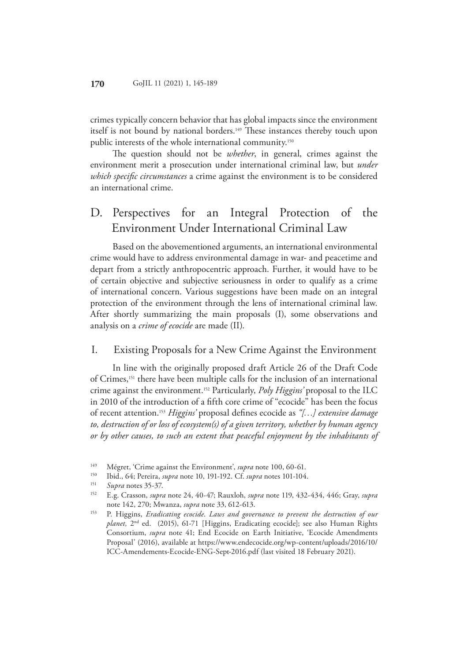<span id="page-25-0"></span>crimes typically concern behavior that has global impacts since the environment itself is not bound by national borders.<sup>149</sup> These instances thereby touch upon public interests of the whole international community.<sup>150</sup>

The question should not be *whether*, in general, crimes against the environment merit a prosecution under international criminal law, but *under which specific circumstances* a crime against the environment is to be considered an international crime.

## D. Perspectives for an Integral Protection of the Environment Under International Criminal Law

Based on the abovementioned arguments, an international environmental crime would have to address environmental damage in war- and peacetime and depart from a strictly anthropocentric approach. Further, it would have to be of certain objective and subjective seriousness in order to qualify as a crime of international concern. Various suggestions have been made on an integral protection of the environment through the lens of international criminal law. After shortly summarizing the main proposals (I), some observations and analysis on a *crime of ecocide* are made (II).

### I. Existing Proposals for a New Crime Against the Environment

In line with the originally proposed draft Article 26 of the Draft Code of Crimes,151 there have been multiple calls for the inclusion of an international crime against the environment.152 Particularly, *Poly Higgins'* proposal to the ILC in 2010 of the introduction of a fifth core crime of "ecocide" has been the focus of recent attention.153 *Higgins'* proposal defines ecocide as *"[…] extensive damage to, destruction of or loss of ecosystem(s) of a given territory, whether by human agency or by other causes, to such an extent that peaceful enjoyment by the inhabitants of* 

<sup>&</sup>lt;sup>149</sup> Mégret, 'Crime against the Environment', *supra* note 100, 60-61.<br><sup>150</sup> Ibid. 6.4: Persias, what pote 10, 191, 192, Cf. what potes 101, 10.4

<sup>150</sup> Ibid., 64; Pereira, *supra* note 10, 191-192. Cf. *supra* notes 101-104.

<sup>&</sup>lt;sup>151</sup> *Supra* notes 35-37.

<sup>152</sup> E.g. Crasson, *supra* note 24, 40-47; Rauxloh, *supra* note 119, 432-434, 446; Gray, *supra* note 142, 270; Mwanza, *supra* note 33, 612-613.

<sup>153</sup> P. Higgins, *Eradicating ecocide*. *Laws and governance to prevent the destruction of our planet,* 2nd ed. (2015), 61-71 [Higgins, Eradicating ecocide]; see also Human Rights Consortium, *supra* note 41; End Ecocide on Earth Initiative, 'Ecocide Amendments Proposal' (2016), available at https://www.endecocide.org/wp-content/uploads/2016/10/ ICC-Amendements-Ecocide-ENG-Sept-2016.pdf (last visited 18 February 2021).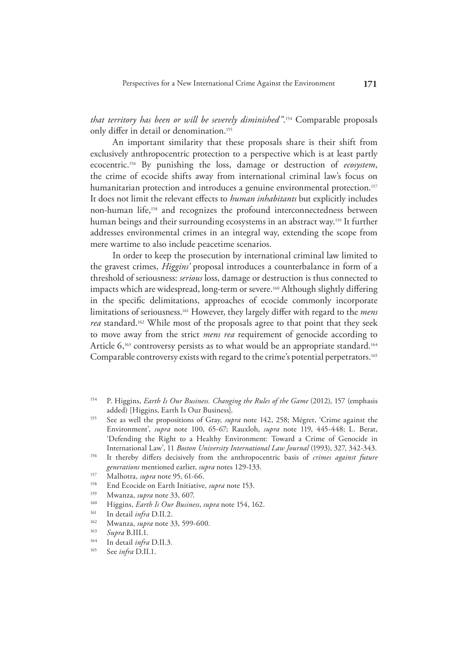*that territory has been or will be severely diminished"*. 154 Comparable proposals only differ in detail or denomination.<sup>155</sup>

An important similarity that these proposals share is their shift from exclusively anthropocentric protection to a perspective which is at least partly ecocentric.156 By punishing the loss, damage or destruction of *ecosystem*, the crime of ecocide shifts away from international criminal law's focus on humanitarian protection and introduces a genuine environmental protection.<sup>157</sup> It does not limit the relevant effects to *human inhabitants* but explicitly includes non-human life,<sup>158</sup> and recognizes the profound interconnectedness between human beings and their surrounding ecosystems in an abstract way.<sup>159</sup> It further addresses environmental crimes in an integral way, extending the scope from mere wartime to also include peacetime scenarios.

In order to keep the prosecution by international criminal law limited to the gravest crimes, *Higgins'* proposal introduces a counterbalance in form of a threshold of seriousness: *serious* loss, damage or destruction is thus connected to impacts which are widespread, long-term or severe.<sup>160</sup> Although slightly differing in the specific delimitations, approaches of ecocide commonly incorporate limitations of seriousness.161 However, they largely differ with regard to the *mens rea* standard.162 While most of the proposals agree to that point that they seek to move away from the strict *mens rea* requirement of genocide according to Article 6,<sup>163</sup> controversy persists as to what would be an appropriate standard.<sup>164</sup> Comparable controversy exists with regard to the crime's potential perpetrators.<sup>165</sup>

- 154 P. Higgins, *Earth Is Our Business. Changing the Rules of the Game* (2012), 157 (emphasis added) [Higgins, Earth Is Our Business].
- 155 See as well the propositions of Gray, *supra* note 142, 258; Mégret, 'Crime against the Environment', *supra* note 100, 65-67; Rauxloh, *supra* note 119, 445-448; L. Berat, 'Defending the Right to a Healthy Environment: Toward a Crime of Genocide in International Law', 11 *Boston University International Law Journal* (1993), 327, 342-343.
- 156 It thereby differs decisively from the anthropocentric basis of *crimes against future generations* mentioned earlier, *supra* notes 129-133.
- <sup>157</sup> Malhotra, *supra* note 95, 61-66.
- <sup>158</sup> End Ecocide on Earth Initiative, *supra* note 153.
- <sup>159</sup> Mwanza, *supra* note 33, 607.
- 1<sup>60</sup> Higgins, *Earth Is Our Business*, *supra* note 154, 162.<br>
<sup>161</sup> In detail *infra* D.II.2.<br>
<sup>162</sup> Manual was note <sup>22</sup>, 500, 600.
- 
- <sup>162</sup> Mwanza, *supra* note 33, 599-600.<br><sup>163</sup> Supra B III 1
- 163 *Supra* B.III.1.
- <sup>164</sup> In detail *infra* D.II.3.
- See *infra* D.II.1.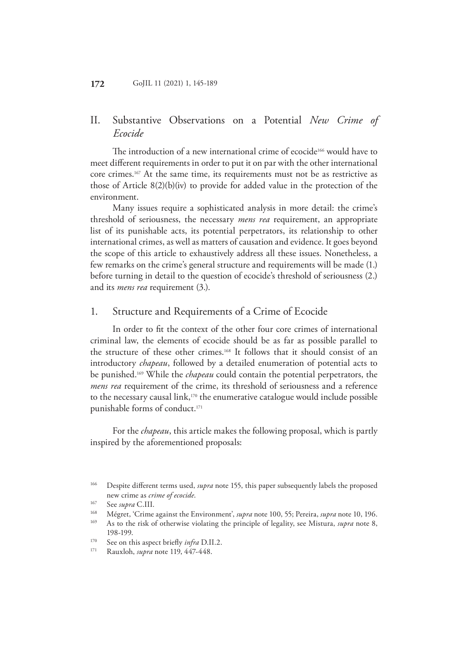## <span id="page-27-0"></span>II. Substantive Observations on a Potential *New Crime of Ecocide*

The introduction of a new international crime of ecocide<sup>166</sup> would have to meet different requirements in order to put it on par with the other international core crimes.167 At the same time, its requirements must not be as restrictive as those of Article 8(2)(b)(iv) to provide for added value in the protection of the environment.

Many issues require a sophisticated analysis in more detail: the crime's threshold of seriousness, the necessary *mens rea* requirement, an appropriate list of its punishable acts, its potential perpetrators, its relationship to other international crimes, as well as matters of causation and evidence. It goes beyond the scope of this article to exhaustively address all these issues. Nonetheless, a few remarks on the crime's general structure and requirements will be made (1.) before turning in detail to the question of ecocide's threshold of seriousness (2.) and its *mens rea* requirement (3.).

### 1. Structure and Requirements of a Crime of Ecocide

In order to fit the context of the other four core crimes of international criminal law, the elements of ecocide should be as far as possible parallel to the structure of these other crimes.168 It follows that it should consist of an introductory *chapeau*, followed by a detailed enumeration of potential acts to be punished.169 While the *chapeau* could contain the potential perpetrators, the *mens rea* requirement of the crime, its threshold of seriousness and a reference to the necessary causal link,<sup>170</sup> the enumerative catalogue would include possible punishable forms of conduct.<sup>171</sup>

For the *chapeau*, this article makes the following proposal, which is partly inspired by the aforementioned proposals:

<sup>166</sup> Despite different terms used, *supra* note 155, this paper subsequently labels the proposed new crime as *crime of ecocide*.

<sup>&</sup>lt;sup>167</sup> See *supra* C.III.

<sup>168</sup> Mégret, 'Crime against the Environment', *supra* note 100, 55; Pereira, *supra* note 10, 196.

<sup>169</sup> As to the risk of otherwise violating the principle of legality, see Mistura, *supra* note 8, 198-199.

<sup>&</sup>lt;sup>170</sup> See on this aspect briefly *infra* D.II.2.<br><sup>171</sup> Pauvlob *super* pote 110,  $\frac{4}{4}$ 

<sup>171</sup> Rauxloh, *supra* note 119, 447-448.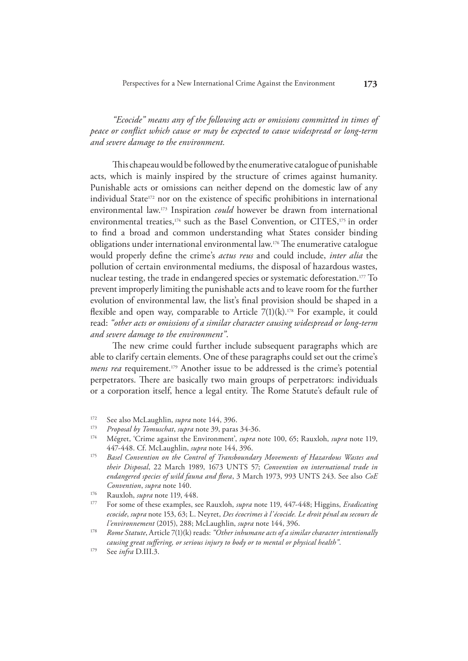*"Ecocide" means any of the following acts or omissions committed in times of peace or conflict which cause or may be expected to cause widespread or long-term and severe damage to the environment.*

This chapeau would be followed by the enumerative catalogue of punishable acts, which is mainly inspired by the structure of crimes against humanity. Punishable acts or omissions can neither depend on the domestic law of any individual State<sup>172</sup> nor on the existence of specific prohibitions in international environmental law.173 Inspiration *could* however be drawn from international environmental treaties,<sup>174</sup> such as the Basel Convention, or CITES,<sup>175</sup> in order to find a broad and common understanding what States consider binding obligations under international environmental law.176 The enumerative catalogue would properly define the crime's *actus reus* and could include, *inter alia* the pollution of certain environmental mediums, the disposal of hazardous wastes, nuclear testing, the trade in endangered species or systematic deforestation.177 To prevent improperly limiting the punishable acts and to leave room for the further evolution of environmental law, the list's final provision should be shaped in a flexible and open way, comparable to Article  $7(1)(k)$ .<sup>178</sup> For example, it could read: *"other acts or omissions of a similar character causing widespread or long-term and severe damage to the environment"*.

The new crime could further include subsequent paragraphs which are able to clarify certain elements. One of these paragraphs could set out the crime's *mens rea* requirement.<sup>179</sup> Another issue to be addressed is the crime's potential perpetrators. There are basically two main groups of perpetrators: individuals or a corporation itself, hence a legal entity. The Rome Statute's default rule of

- 175 *Basel Convention on the Control of Transboundary Movements of Hazardous Wastes and their Disposal*, 22 March 1989, 1673 UNTS 57; *Convention on international trade in endangered species of wild fauna and flora*, 3 March 1973, 993 UNTS 243. See also *CoE Convention*, *supra* note 140.
- <sup>176</sup> Rauxloh, *supra* note 119, 448.
- 177 For some of these examples, see Rauxloh, *supra* note 119, 447-448; Higgins, *Eradicating ecocide*, *supra* note 153, 63; L. Neyret, *Des écocrimes à l'écocide. Le droit pénal au secours de l'environnement* (2015), 288; McLaughlin, *supra* note 144, 396.
- 178 *Rome Statute*, Article 7(1)(k) reads: *"Other inhumane acts of a similar character intentionally causing great suffering, or serious injury to body or to mental or physical health"*.

<sup>172</sup> See also McLaughlin, *supra* note 144, 396.

<sup>173</sup> *Proposal by Tomuschat*, *supra* note 39, paras 34-36.

<sup>174</sup> Mégret, 'Crime against the Environment', *supra* note 100, 65; Rauxloh, *supra* note 119, 447-448. Cf. McLaughlin, *supra* note 144, 396.

<sup>179</sup> See *infra* D.III.3.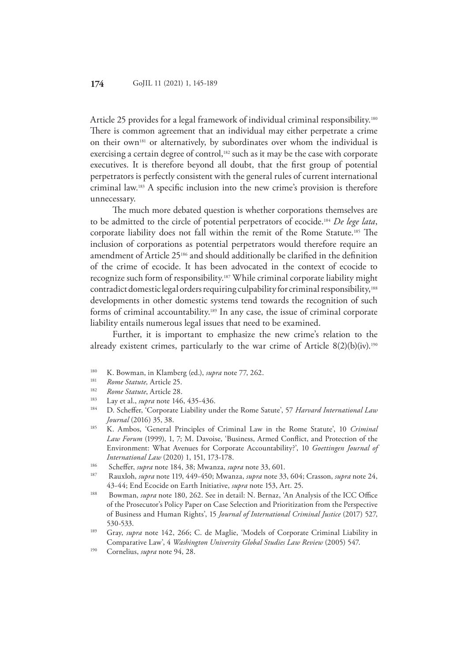Article 25 provides for a legal framework of individual criminal responsibility.<sup>180</sup> There is common agreement that an individual may either perpetrate a crime on their own181 or alternatively, by subordinates over whom the individual is exercising a certain degree of control,<sup>182</sup> such as it may be the case with corporate executives. It is therefore beyond all doubt, that the first group of potential perpetrators is perfectly consistent with the general rules of current international criminal law.183 A specific inclusion into the new crime's provision is therefore unnecessary.

The much more debated question is whether corporations themselves are to be admitted to the circle of potential perpetrators of ecocide.184 *De lege lata*, corporate liability does not fall within the remit of the Rome Statute.185 The inclusion of corporations as potential perpetrators would therefore require an amendment of Article 25186 and should additionally be clarified in the definition of the crime of ecocide. It has been advocated in the context of ecocide to recognize such form of responsibility.187 While criminal corporate liability might contradict domestic legal orders requiring culpability for criminal responsibility,<sup>188</sup> developments in other domestic systems tend towards the recognition of such forms of criminal accountability.189 In any case, the issue of criminal corporate liability entails numerous legal issues that need to be examined.

Further, it is important to emphasize the new crime's relation to the already existent crimes, particularly to the war crime of Article  $8(2)(b)(iv)$ .<sup>190</sup>

- <sup>180</sup> K. Bowman, in Klamberg (ed.), *supra* note 77, 262.<br><sup>181</sup> Rome Statute, Article 25.
- 
- 
- <sup>181</sup>*Rome Statute,* Article 25. 182 *Rome Statute*, Article 28. 183 Lay et al., *supra* note 146, 435-436.
- 184 D. Scheffer, 'Corporate Liability under the Rome Satute', 57 *Harvard International Law Journal* (2016) 35, 38.
- 185 K. Ambos, 'General Principles of Criminal Law in the Rome Statute', 10 *Criminal Law Forum* (1999), 1, 7; M. Davoise, 'Business, Armed Conflict, and Protection of the Environment: What Avenues for Corporate Accountability?', 10 *Goettingen Journal of International Law* (2020) 1, 151, 173-178.
- 
- 186 Scheffer, *supra* note 184, 38; Mwanza, *supra* note 33, 601. 187 Rauxloh, *supra* note 119, 449-450; Mwanza, *supra* note 33, 604; Crasson, *supra* note 24, 43-44; End Ecocide on Earth Initiative, *supra* note 153, Art. 25.
- 188 Bowman, *supra* note 180, 262. See in detail: N. Bernaz, 'An Analysis of the ICC Office of the Prosecutor's Policy Paper on Case Selection and Prioritization from the Perspective of Business and Human Rights', 15 *Journal of International Criminal Justice* (2017) 527, 530-533. 189 Gray, *supra* note 142, 266; C. de Maglie, 'Models of Corporate Criminal Liability in
- Comparative Law', 4 *Washington University Global Studies Law Review* (2005) 547.
- 190 Cornelius, *supra* note 94, 28.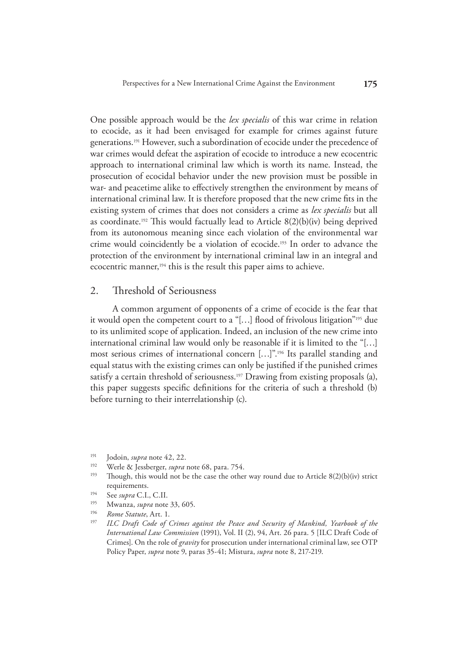<span id="page-30-0"></span>One possible approach would be the *lex specialis* of this war crime in relation to ecocide, as it had been envisaged for example for crimes against future generations.191 However, such a subordination of ecocide under the precedence of war crimes would defeat the aspiration of ecocide to introduce a new ecocentric approach to international criminal law which is worth its name. Instead, the prosecution of ecocidal behavior under the new provision must be possible in war- and peacetime alike to effectively strengthen the environment by means of international criminal law. It is therefore proposed that the new crime fits in the existing system of crimes that does not considers a crime as *lex specialis* but all as coordinate.192 This would factually lead to Article 8(2)(b)(iv) being deprived from its autonomous meaning since each violation of the environmental war crime would coincidently be a violation of ecocide.193 In order to advance the protection of the environment by international criminal law in an integral and ecocentric manner,<sup>194</sup> this is the result this paper aims to achieve.

### 2. Threshold of Seriousness

A common argument of opponents of a crime of ecocide is the fear that it would open the competent court to a "[…] flood of frivolous litigation"195 due to its unlimited scope of application. Indeed, an inclusion of the new crime into international criminal law would only be reasonable if it is limited to the "[…] most serious crimes of international concern […]".196 Its parallel standing and equal status with the existing crimes can only be justified if the punished crimes satisfy a certain threshold of seriousness.<sup>197</sup> Drawing from existing proposals (a), this paper suggests specific definitions for the criteria of such a threshold (b) before turning to their interrelationship (c).

<sup>&</sup>lt;sup>191</sup> Jodoin, *supra* note 42, 22.

<sup>192</sup> Werle & Jessberger, *supra* note 68, para. 754.

Though, this would not be the case the other way round due to Article  $8(2)(b)(iv)$  strict requirements.

<sup>&</sup>lt;sup>194</sup> See *supra* C.I., C.II.

<sup>&</sup>lt;sup>195</sup> Mwanza, *supra* note 33, 605.

<sup>196</sup> *Rome Statute*, Art. 1.

ILC Draft Code of Crimes against the Peace and Security of Mankind, Yearbook of the *International Law Commission* (1991), Vol. II (2), 94, Art. 26 para. 5 [ILC Draft Code of Crimes]. On the role of *gravity* for prosecution under international criminal law, see OTP Policy Paper, *supra* note 9, paras 35-41; Mistura, *supra* note 8, 217-219.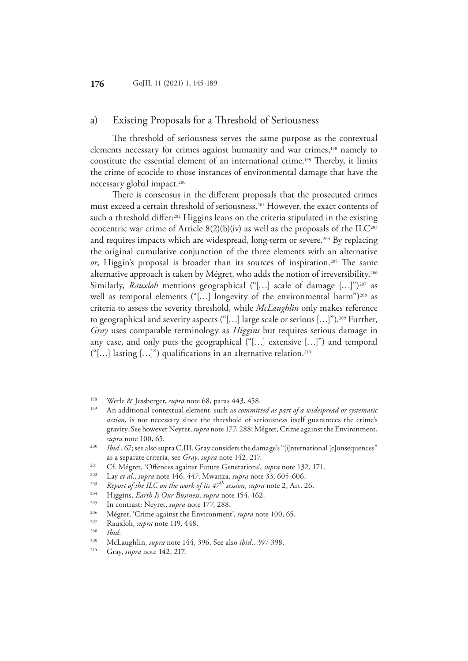### <span id="page-31-0"></span>a) Existing Proposals for a Threshold of Seriousness

The threshold of seriousness serves the same purpose as the contextual elements necessary for crimes against humanity and war crimes,<sup>198</sup> namely to constitute the essential element of an international crime.199 Thereby, it limits the crime of ecocide to those instances of environmental damage that have the necessary global impact.<sup>200</sup>

There is consensus in the different proposals that the prosecuted crimes must exceed a certain threshold of seriousness.201 However, the exact contents of such a threshold differ:<sup>202</sup> Higgins leans on the criteria stipulated in the existing ecocentric war crime of Article  $8(2)(b)(iv)$  as well as the proposals of the ILC<sup>203</sup> and requires impacts which are widespread, long-term or severe.<sup>204</sup> By replacing the original cumulative conjunction of the three elements with an alternative *or*, Higgin's proposal is broader than its sources of inspiration.205 The same alternative approach is taken by Mégret, who adds the notion of irreversibility.<sup>206</sup> Similarly, *Rauxloh* mentions geographical ("[...] scale of damage [...]")<sup>207</sup> as well as temporal elements ("[...] longevity of the environmental harm")<sup>208</sup> as criteria to assess the severity threshold, while *McLaughlin* only makes reference to geographical and severity aspects ("[…] large scale or serious […]").209 Further, *Gray* uses comparable terminology as *Higgins* but requires serious damage in any case, and only puts the geographical ("[…] extensive […]") and temporal  $("[...]$  lasting  $[...]$ ") qualifications in an alternative relation.<sup>210</sup>

- 199 An additional contextual element, such as *committed as part of a widespread or systematic action*, is not necessary since the threshold of seriousness itself guarantees the crime's gravity. See however Neyret, *supra* note 177, 288; Mégret, Crime against the Environment, *supra* note 100, 65.
- <sup>200</sup> *Ibid.*, 67; see also supra C.III. Gray considers the damage's "[i]nternational [c]onsequences" as a separate criteria, see *Gray*, *supra* note 142, 217.<br>
<sup>201</sup> Cf. Mégret, 'Offences against Future Generations', *supra* note 132, 171.<br>
<sup>202</sup> Lay et al., what pote 146, 447. Murappe, what pote 33, 605, 606.
- 

- <sup>203</sup> *Report of the ILC on the work of its*  $47^h$  *session, supra* note 2, Art. 26.
- 204 Higgins, *Earth Is Our Business, supra* note 154, 162.
- 205 In contrast: Neyret, *supra* note 177, 288.
- <sup>206</sup> Mégret, 'Crime against the Environment', *supra* note 100, 65.
- <sup>207</sup> Rauxloh, *supra* note 119, 448.
- 208 *Ibid*.
- 209 McLaughlin, *supra* note 144, 396. See also *ibid*., 397-398.
- 210 Gray, *supra* note 142, 217.

<sup>198</sup> Werle & Jessberger, *supra* note 68, paras 443, 458.

<sup>&</sup>lt;sup>202</sup> Lay *et al.*, *supra* note 146, 447; Mwanza, *supra* note 33, 605-606.<br><sup>203</sup> Penert of the ILC on the work of its 47<sup>th</sup> section, cutra note 2, Art.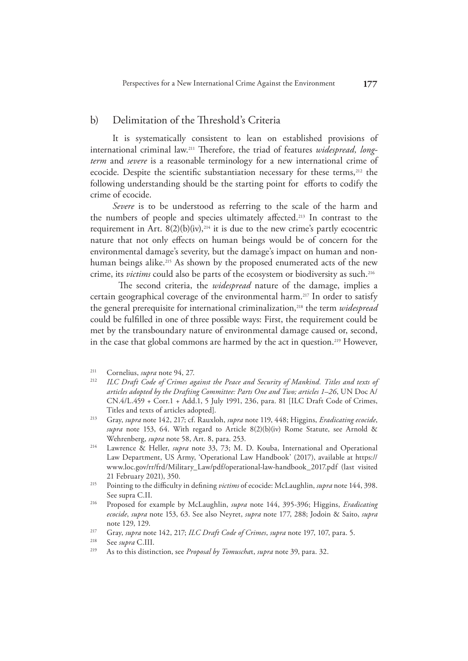### <span id="page-32-0"></span>b) Delimitation of the Threshold's Criteria

It is systematically consistent to lean on established provisions of international criminal law.211 Therefore, the triad of features *widespread, longterm* and *severe* is a reasonable terminology for a new international crime of ecocide. Despite the scientific substantiation necessary for these terms,<sup>212</sup> the following understanding should be the starting point for efforts to codify the crime of ecocide.

*Severe* is to be understood as referring to the scale of the harm and the numbers of people and species ultimately affected.213 In contrast to the requirement in Art.  $8(2)(b)(iv)$ ,<sup>214</sup> it is due to the new crime's partly ecocentric nature that not only effects on human beings would be of concern for the environmental damage's severity, but the damage's impact on human and nonhuman beings alike.<sup>215</sup> As shown by the proposed enumerated acts of the new crime, its *victims* could also be parts of the ecosystem or biodiversity as such.<sup>216</sup>

The second criteria, the *widespread* nature of the damage, implies a certain geographical coverage of the environmental harm.217 In order to satisfy the general prerequisite for international criminalization,<sup>218</sup> the term *widespread* could be fulfilled in one of three possible ways: First, the requirement could be met by the transboundary nature of environmental damage caused or, second, in the case that global commons are harmed by the act in question.219 However,

- 212 *ILC Draft Code of Crimes against the Peace and Security of Mankind. Titles and texts of articles adopted by the Drafting Committee: Parts One and Two; articles 1–26*, UN Doc A/ CN.4/L.459 + Corr.1 + Add.1, 5 July 1991, 236, para. 81 [ILC Draft Code of Crimes, Titles and texts of articles adopted].
- 213 Gray, *supra* note 142, 217; cf. Rauxloh, *supra* note 119, 448; Higgins, *Eradicating ecocide*, *supra* note 153, 64. With regard to Article 8(2)(b)(iv) Rome Statute, see Arnold & Wehrenberg, *supra* note 58, Art. 8, para. 253.
- <sup>214</sup> Lawrence & Heller, *supra* note 33, 73; M. D. Kouba, International and Operational Law Department, US Army, 'Operational Law Handbook' (2017), available at https:// www.loc.gov/rr/frd/Military\_Law/pdf/operational-law-handbook\_2017.pdf (last visited 21 February 2021), 350.
- 215 Pointing to the difficulty in defining *victims* of ecocide: McLaughlin, *supra* note 144, 398. See supra C.II.
- 216 Proposed for example by McLaughlin, *supra* note 144, 395-396; Higgins, *Eradicating ecocide*, *supra* note 153, 63. See also Neyret, *supra* note 177, 288; Jodoin & Saito, *supra* note 129, 129.
- 217 Gray, *supra* note 142, 217; *ILC Draft Code of Crimes*, *supra* note 197, 107, para. 5.
- $\frac{218}{219}$  See *supra* C.III.
- As to this distinction, see *Proposal by Tomuschat*, *supra* note 39, para. 32.

<sup>&</sup>lt;sup>211</sup> Cornelius, *supra* note 94, 27.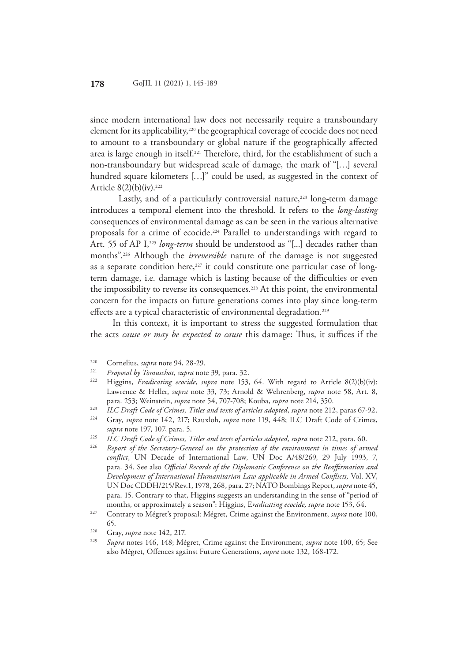since modern international law does not necessarily require a transboundary element for its applicability,<sup>220</sup> the geographical coverage of ecocide does not need to amount to a transboundary or global nature if the geographically affected area is large enough in itself.<sup>221</sup> Therefore, third, for the establishment of such a non-transboundary but widespread scale of damage, the mark of "[…] several hundred square kilometers [...]" could be used, as suggested in the context of Article  $8(2)(b)(iv).$ <sup>222</sup>

Lastly, and of a particularly controversial nature,<sup>223</sup> long-term damage introduces a temporal element into the threshold. It refers to the *long-lasting*  consequences of environmental damage as can be seen in the various alternative proposals for a crime of ecocide.224 Parallel to understandings with regard to Art. 55 of AP I,<sup>225</sup> long-term should be understood as "[...] decades rather than months".226 Although the *irreversible* nature of the damage is not suggested as a separate condition here,<sup>227</sup> it could constitute one particular case of longterm damage, i.e. damage which is lasting because of the difficulties or even the impossibility to reverse its consequences.228 At this point, the environmental concern for the impacts on future generations comes into play since long-term effects are a typical characteristic of environmental degradation.<sup>229</sup>

In this context, it is important to stress the suggested formulation that the acts *cause or may be expected to cause* this damage: Thus, it suffices if the

- 221 *Proposal by Tomuschat, supra* note 39, para. 32.
- 222 Higgins, *Eradicating ecocide*, *supra* note 153, 64. With regard to Article 8(2)(b)(iv): Lawrence & Heller, *supra* note 33, 73; Arnold & Wehrenberg, *supra* note 58, Art. 8, para. 253; Weinstein, *supra* note 54, 707-708; Kouba, *supra* note 214, 350.
- <sup>223</sup> *ILC Draft Code of Crimes, Titles and texts of articles adopted*, *supra* note 212, paras 67-92.
- 224 Gray, *supra* note 142, 217; Rauxloh, *supra* note 119, 448; ILC Draft Code of Crimes, *supra* note 197, 107, para. 5.
- 225 *ILC Draft Code of Crimes, Titles and texts of articles adopted, supra* note 212, para. 60.
- 226 *Report of the Secretary-General on the protection of the environment in times of armed conflict*, UN Decade of International Law, UN Doc A/48/269, 29 July 1993, 7, para. 34. See also *Official Records of the Diplomatic Conference on the Reaffirmation and Development of International Humanitarian Law applicable in Armed Conflicts,* Vol. XV, UN Doc CDDH/215/Rev.1, 1978, 268, para. 27; NATO Bombings Report, *supra* note 45, para. 15. Contrary to that, Higgins suggests an understanding in the sense of "period of months, or approximately a season": Higgins, E*radicating ecocide, supra* note 153, 64.
- 227 Contrary to Mégret's proposal: Mégret, Crime against the Environment, *supra* note 100, 65.
- 228 Gray, *supra* note 142, 217.
- 229 *Supra* notes 146, 148; Mégret, Crime against the Environment, *supra* note 100, 65; See also Mégret, Offences against Future Generations, *supra* note 132, 168-172.

<sup>220</sup> Cornelius, *supra* note 94, 28-29.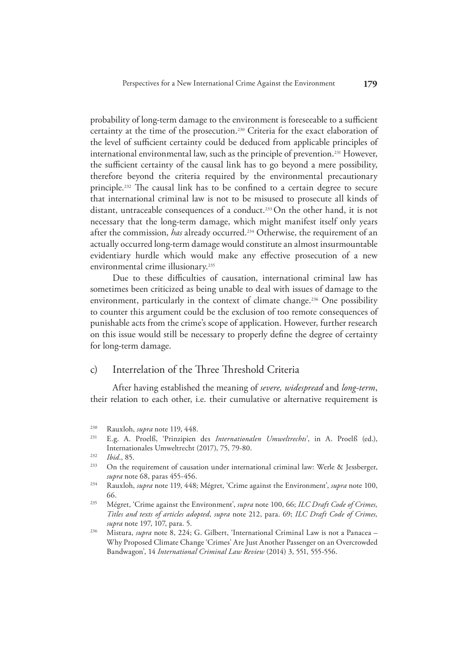<span id="page-34-0"></span>probability of long-term damage to the environment is foreseeable to a sufficient certainty at the time of the prosecution.<sup>230</sup> Criteria for the exact elaboration of the level of sufficient certainty could be deduced from applicable principles of international environmental law, such as the principle of prevention.231 However, the sufficient certainty of the causal link has to go beyond a mere possibility, therefore beyond the criteria required by the environmental precautionary principle.232 The causal link has to be confined to a certain degree to secure that international criminal law is not to be misused to prosecute all kinds of distant, untraceable consequences of a conduct.<sup>233</sup> On the other hand, it is not necessary that the long-term damage, which might manifest itself only years after the commission, *has* already occurred.234 Otherwise, the requirement of an actually occurred long-term damage would constitute an almost insurmountable evidentiary hurdle which would make any effective prosecution of a new environmental crime illusionary.<sup>235</sup>

Due to these difficulties of causation, international criminal law has sometimes been criticized as being unable to deal with issues of damage to the environment, particularly in the context of climate change.<sup>236</sup> One possibility to counter this argument could be the exclusion of too remote consequences of punishable acts from the crime's scope of application. However, further research on this issue would still be necessary to properly define the degree of certainty for long-term damage.

### c) Interrelation of the Three Threshold Criteria

After having established the meaning of *severe, widespread* and *long-term*, their relation to each other, i.e. their cumulative or alternative requirement is

<sup>230</sup> Rauxloh, *supra* note 119, 448.

<sup>231</sup> E.g. A. Proelß, 'Prinzipien des *Internationalen Umweltrechts*', in A. Proelß (ed.), Internationales Umweltrecht (2017), 75, 79-80.

<sup>232</sup> *Ibid*., 85.

 $^{233}$  On the requirement of causation under international criminal law: Werle & Jessberger, *supra* note 68, paras 455-456.

<sup>234</sup> Rauxloh, *supra* note 119, 448; Mégret, 'Crime against the Environment', *supra* note 100, 66.

<sup>235</sup> Mégret, 'Crime against the Environment', *supra* note 100, 66; *ILC Draft Code of Crimes, Titles and texts of articles adopted*, *supra* note 212, para. 69; *ILC Draft Code of Crimes, supra* note 197, 107, para. 5.

<sup>236</sup> Mistura, *supra* note 8, 224; G. Gilbert, 'International Criminal Law is not a Panacea – Why Proposed Climate Change 'Crimes' Are Just Another Passenger on an Overcrowded Bandwagon', 14 *International Criminal Law Review* (2014) 3, 551, 555-556.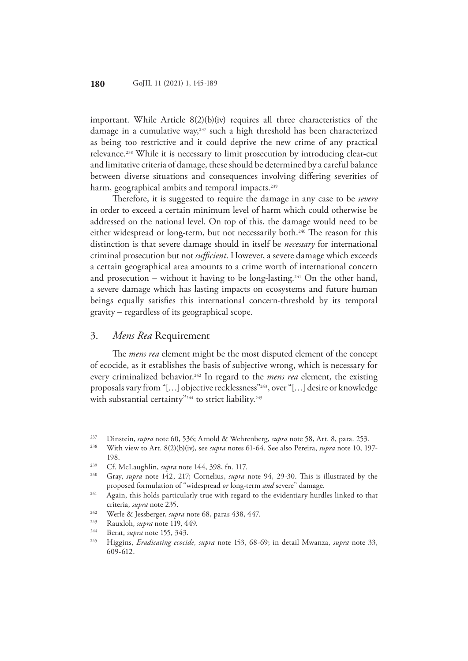<span id="page-35-0"></span>important. While Article  $8(2)(b)(iv)$  requires all three characteristics of the damage in a cumulative way,<sup>237</sup> such a high threshold has been characterized as being too restrictive and it could deprive the new crime of any practical relevance.238 While it is necessary to limit prosecution by introducing clear-cut and limitative criteria of damage, these should be determined by a careful balance between diverse situations and consequences involving differing severities of harm, geographical ambits and temporal impacts.<sup>239</sup>

Therefore, it is suggested to require the damage in any case to be *severe* in order to exceed a certain minimum level of harm which could otherwise be addressed on the national level. On top of this, the damage would need to be either widespread or long-term, but not necessarily both.<sup>240</sup> The reason for this distinction is that severe damage should in itself be *necessary* for international criminal prosecution but not *sufficient*. However, a severe damage which exceeds a certain geographical area amounts to a crime worth of international concern and prosecution – without it having to be long-lasting.<sup>241</sup> On the other hand, a severe damage which has lasting impacts on ecosystems and future human beings equally satisfies this international concern-threshold by its temporal gravity – regardless of its geographical scope.

### 3. *Mens Rea* Requirement

The *mens rea* element might be the most disputed element of the concept of ecocide, as it establishes the basis of subjective wrong, which is necessary for every criminalized behavior.<sup>242</sup> In regard to the *mens rea* element, the existing proposals vary from "[…] objective recklessness"243, over "[…] desire or knowledge with substantial certainty"<sup>244</sup> to strict liability.<sup>245</sup>

<sup>237</sup> Dinstein, *supra* note 60, 536; Arnold & Wehrenberg, *supra* note 58, Art. 8, para. 253. 238 With view to Art. 8(2)(b)(iv), see *supra* notes 61-64. See also Pereira, *supra* note 10, 197- 198.

<sup>239</sup> Cf. McLaughlin, *supra* note 144, 398, fn. 117.

Gray, *supra* note 142, 217; Cornelius, *supra* note 94, 29-30. This is illustrated by the proposed formulation of "widespread or long-term and severe" damage.

<sup>&</sup>lt;sup>241</sup> Again, this holds particularly true with regard to the evidentiary hurdles linked to that criteria, *supra* note 235.

<sup>&</sup>lt;sup>242</sup> Werle & Jessberger, *supra* note 68, paras 438, 447.

<sup>243</sup> Rauxloh, *supra* note 119, 449. 244 Berat, *supra* note 155, 343.

<sup>245</sup> Higgins, *Eradicating ecocide, supra* note 153, 68-69; in detail Mwanza, *supra* note 33, 609-612.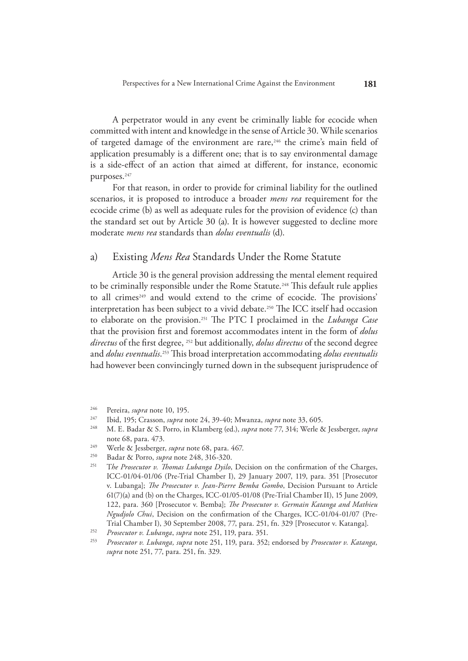<span id="page-36-0"></span>A perpetrator would in any event be criminally liable for ecocide when committed with intent and knowledge in the sense of Article 30. While scenarios of targeted damage of the environment are rare,<sup>246</sup> the crime's main field of application presumably is a different one; that is to say environmental damage is a side-effect of an action that aimed at different, for instance, economic purposes.<sup>247</sup>

For that reason, in order to provide for criminal liability for the outlined scenarios, it is proposed to introduce a broader *mens rea* requirement for the ecocide crime (b) as well as adequate rules for the provision of evidence (c) than the standard set out by Article 30 (a). It is however suggested to decline more moderate *mens rea* standards than *dolus eventualis* (d).

### a) Existing *Mens Rea* Standards Under the Rome Statute

Article 30 is the general provision addressing the mental element required to be criminally responsible under the Rome Statute.<sup>248</sup> This default rule applies to all crimes<sup>249</sup> and would extend to the crime of ecocide. The provisions' interpretation has been subject to a vivid debate.<sup>250</sup> The ICC itself had occasion to elaborate on the provision.251 The PTC I proclaimed in the *Lubanga Case*  that the provision first and foremost accommodates intent in the form of *dolus directus* of the first degree, 252 but additionally, *dolus directus* of the second degree and *dolus eventualis*. 253 This broad interpretation accommodating *dolus eventualis* had however been convincingly turned down in the subsequent jurisprudence of

- 
- 
- 250 Badar & Porro, *supra* note 248, 316-320. 251 T*he Prosecutor v. Thomas Lubanga Dyilo*, Decision on the confirmation of the Charges, ICC-01/04-01/06 (Pre-Trial Chamber I), 29 January 2007, 119, para. 351 [Prosecutor v. Lubanga]; *The Prosecutor v. Jean-Pierre Bemba Gombo*, Decision Pursuant to Article 61(7)(a) and (b) on the Charges, ICC-01/05-01/08 (Pre-Trial Chamber II), 15 June 2009, 122, para. 360 [Prosecutor v. Bemba]; *The Prosecutor v. Germain Katanga and Mathieu Ngudjolo Chui*, Decision on the confirmation of the Charges, ICC-01/04-01/07 (Pre-Trial Chamber I), 30 September 2008, 77, para. 251, fn. 329 [Prosecutor v. Katanga].

<sup>&</sup>lt;sup>246</sup> Pereira, *supra* note 10, 195.

<sup>247</sup> Ibid, 195; Crasson, *supra* note 24, 39-40; Mwanza, *supra* note 33, 605.

<sup>248</sup> M. E. Badar & S. Porro, in Klamberg (ed.), *supra* note 77, 314; Werle & Jessberger, *supra* note 68, para. 473.<br><sup>249</sup> Werle & Jessberger, *supra* note 68, para. 467.<br><sup>250</sup> Badar & Porto, *supra* pote 248, 316, 320.

<sup>252</sup> *Prosecutor v. Lubanga*, *supra* note 251, 119, para. 351.

<sup>253</sup> *Prosecutor v. Lubanga, supra* note 251, 119, para. 352; endorsed by *Prosecutor v. Katanga, supra* note 251, 77, para. 251, fn. 329.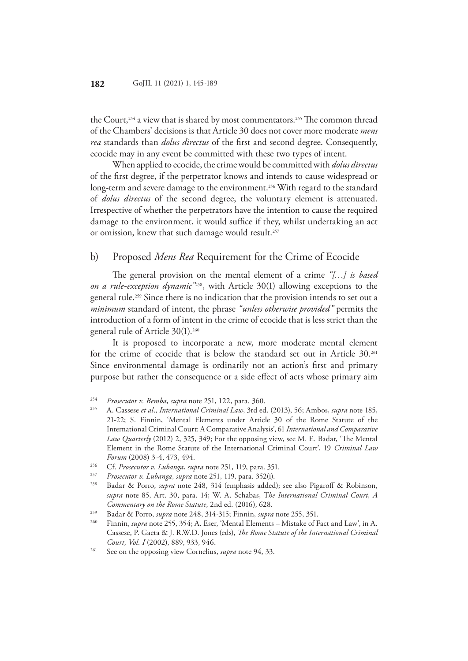<span id="page-37-0"></span>the Court,<sup>254</sup> a view that is shared by most commentators.<sup>255</sup> The common thread of the Chambers' decisions is that Article 30 does not cover more moderate *mens rea* standards than *dolus directus* of the first and second degree. Consequently, ecocide may in any event be committed with these two types of intent.

When applied to ecocide, the crime would be committed with *dolus directus* of the first degree, if the perpetrator knows and intends to cause widespread or long-term and severe damage to the environment.256 With regard to the standard of *dolus directus* of the second degree, the voluntary element is attenuated. Irrespective of whether the perpetrators have the intention to cause the required damage to the environment, it would suffice if they, whilst undertaking an act or omission, knew that such damage would result.<sup>257</sup>

### b) Proposed *Mens Rea* Requirement for the Crime of Ecocide

The general provision on the mental element of a crime *"[…] is based on a rule-exception dynamic"*258, with Article 30(1) allowing exceptions to the general rule.259 Since there is no indication that the provision intends to set out a *minimum* standard of intent, the phrase *"unless otherwise provided"* permits the introduction of a form of intent in the crime of ecocide that is less strict than the general rule of Article 30(1).<sup>260</sup>

It is proposed to incorporate a new, more moderate mental element for the crime of ecocide that is below the standard set out in Article 30.261 Since environmental damage is ordinarily not an action's first and primary purpose but rather the consequence or a side effect of acts whose primary aim

- 
- <sup>254</sup>*Prosecutor v. Bemba, supra* note 251, 122, para. 360. 255 A. Cassese *et al*., *International Criminal Law*, 3rd ed. (2013), 56; Ambos, *supra* note 185, 21-22; S. Finnin, 'Mental Elements under Article 30 of the Rome Statute of the International Criminal Court: A Comparative Analysis', 61 *International and Comparative Law Quarterly* (2012) 2, 325, 349; For the opposing view, see M. E. Badar, 'The Mental Element in the Rome Statute of the International Criminal Court', 19 *Criminal Law Forum* (2008) 3-4, 473, 494.<br><sup>256</sup> Cf. *Prosecutor v. Lubanga, supra* note 251, 119, para. 351.<br><sup>257</sup> Prosecutor v. Lubanga, supra pote 251, 119, para. 352(i)
- 
- 
- <sup>257</sup>*Prosecutor v. Lubanga, supra* note 251, 119, para. 352(i). 258 Badar & Porro, *supra* note 248, 314 (emphasis added); see also Pigaroff & Robinson, *supra* note 85, Art. 30, para. 14; W. A. Schabas, T*he International Criminal Court, A Commentary on the Rome Statute*, 2nd ed. (2016), 628.
- 259 Badar & Porro, *supra* note 248, 314-315; Finnin, *supra* note 255, 351.
- 260 Finnin, *supra* note 255, 354; A. Eser, 'Mental Elements Mistake of Fact and Law', in A. Cassese, P. Gaeta & J. R.W.D. Jones (eds), *The Rome Statute of the International Criminal Court, Vol. I* (2002), 889, 933, 946.
- <sup>261</sup> See on the opposing view Cornelius, *supra* note 94, 33.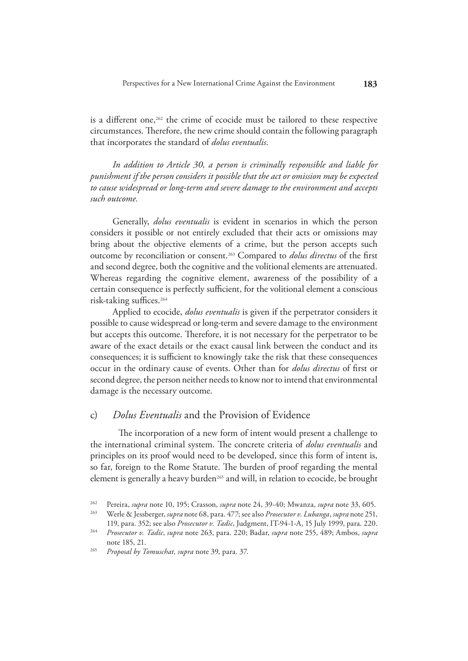<span id="page-38-0"></span>is a different one,<sup>262</sup> the crime of ecocide must be tailored to these respective circumstances. Therefore, the new crime should contain the following paragraph that incorporates the standard of *dolus eventualis*.

*In addition to Article 30, a person is criminally responsible and liable for punishment if the person considers it possible that the act or omission may be expected to cause widespread or long-term and severe damage to the environment and accepts such outcome.*

Generally, *dolus eventualis* is evident in scenarios in which the person considers it possible or not entirely excluded that their acts or omissions may bring about the objective elements of a crime, but the person accepts such outcome by reconciliation or consent.263 Compared to *dolus directus* of the first and second degree, both the cognitive and the volitional elements are attenuated. Whereas regarding the cognitive element, awareness of the possibility of a certain consequence is perfectly sufficient, for the volitional element a conscious risk-taking suffices.264

Applied to ecocide, *dolus eventualis* is given if the perpetrator considers it possible to cause widespread or long-term and severe damage to the environment but accepts this outcome. Therefore, it is not necessary for the perpetrator to be aware of the exact details or the exact causal link between the conduct and its consequences; it is sufficient to knowingly take the risk that these consequences occur in the ordinary cause of events. Other than for *dolus directus* of first or second degree, the person neither needs to know nor to intend that environmental damage is the necessary outcome.

### c) *Dolus Eventualis* and the Provision of Evidence

The incorporation of a new form of intent would present a challenge to the international criminal system. The concrete criteria of *dolus eventualis* and principles on its proof would need to be developed, since this form of intent is, so far, foreign to the Rome Statute. The burden of proof regarding the mental element is generally a heavy burden<sup>265</sup> and will, in relation to ecocide, be brought

<sup>262</sup> Pereira, *supra* note 10, 195; Crasson, *supra* note 24, 39-40; Mwanza, *supra* note 33, 605.

<sup>263</sup> Werle & Jessberger, *supra* note 68, para. 477; see also *Prosecutor v. Lubanga*, *supra* note 251, 119, para. 352; see also *Prosecutor v. Tadic*, Judgment, IT-94-1-A, 15 July 1999, para. 220.

<sup>264</sup> *Prosecutor v. Tadic*, *supra* note 263, para. 220; Badar, *supra* note 255, 489; Ambos, *supra* note 185, 21.

<sup>265</sup> *Proposal by Tomuschat, supra* note 39, para. 37.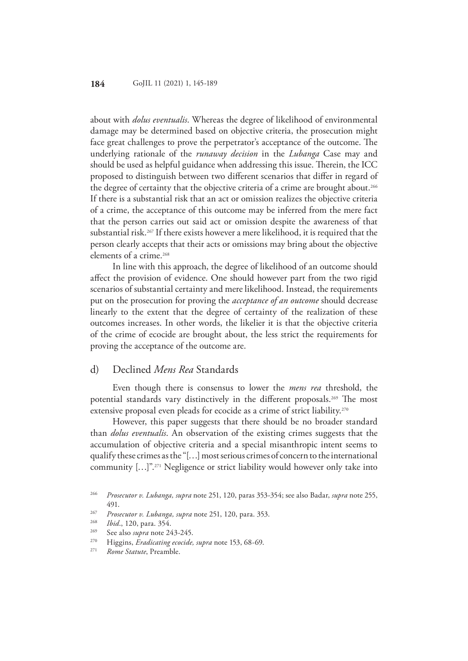<span id="page-39-0"></span>about with *dolus eventualis*. Whereas the degree of likelihood of environmental damage may be determined based on objective criteria, the prosecution might face great challenges to prove the perpetrator's acceptance of the outcome. The underlying rationale of the *runaway decision* in the *Lubanga* Case may and should be used as helpful guidance when addressing this issue. Therein, the ICC proposed to distinguish between two different scenarios that differ in regard of the degree of certainty that the objective criteria of a crime are brought about.<sup>266</sup> If there is a substantial risk that an act or omission realizes the objective criteria of a crime, the acceptance of this outcome may be inferred from the mere fact that the person carries out said act or omission despite the awareness of that substantial risk.<sup>267</sup> If there exists however a mere likelihood, it is required that the person clearly accepts that their acts or omissions may bring about the objective elements of a crime.<sup>268</sup>

In line with this approach, the degree of likelihood of an outcome should affect the provision of evidence. One should however part from the two rigid scenarios of substantial certainty and mere likelihood. Instead, the requirements put on the prosecution for proving the *acceptance of an outcome* should decrease linearly to the extent that the degree of certainty of the realization of these outcomes increases. In other words, the likelier it is that the objective criteria of the crime of ecocide are brought about, the less strict the requirements for proving the acceptance of the outcome are.

#### d) Declined *Mens Rea* Standards

Even though there is consensus to lower the *mens rea* threshold, the potential standards vary distinctively in the different proposals.269 The most extensive proposal even pleads for ecocide as a crime of strict liability.<sup>270</sup>

However, this paper suggests that there should be no broader standard than *dolus eventualis*. An observation of the existing crimes suggests that the accumulation of objective criteria and a special misanthropic intent seems to qualify these crimes as the "[…] most serious crimes of concern to the international community […]".271 Negligence or strict liability would however only take into

270 Higgins, *Eradicating ecocide, supra* note 153, 68-69.

<sup>266</sup> *Prosecutor v. Lubanga, supra* note 251, 120, paras 353-354; see also Badar, *supra* note 255, 491.

<sup>267</sup> *Prosecutor v. Lubanga, supra* note 251, 120, para. 353.

<sup>268</sup>*Ibid*., 120, para. 354. 269 See also *supra* note 243-245.

<sup>271</sup> *Rome Statute*, Preamble.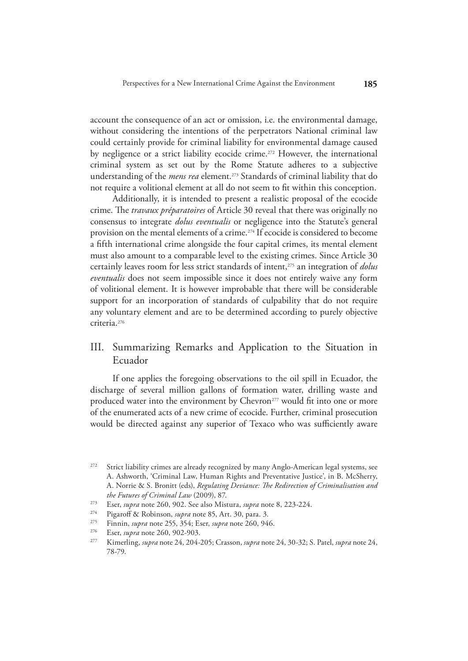<span id="page-40-0"></span>account the consequence of an act or omission, i.e. the environmental damage, without considering the intentions of the perpetrators National criminal law could certainly provide for criminal liability for environmental damage caused by negligence or a strict liability ecocide crime.<sup>272</sup> However, the international criminal system as set out by the Rome Statute adheres to a subjective understanding of the *mens rea* element.273 Standards of criminal liability that do not require a volitional element at all do not seem to fit within this conception.

Additionally, it is intended to present a realistic proposal of the ecocide crime. The *travaux préparatoires* of Article 30 reveal that there was originally no consensus to integrate *dolus eventualis* or negligence into the Statute's general provision on the mental elements of a crime.274 If ecocide is considered to become a fifth international crime alongside the four capital crimes, its mental element must also amount to a comparable level to the existing crimes. Since Article 30 certainly leaves room for less strict standards of intent,275 an integration of *dolus eventualis* does not seem impossible since it does not entirely waive any form of volitional element. It is however improbable that there will be considerable support for an incorporation of standards of culpability that do not require any voluntary element and are to be determined according to purely objective criteria.276

### III. Summarizing Remarks and Application to the Situation in Ecuador

If one applies the foregoing observations to the oil spill in Ecuador, the discharge of several million gallons of formation water, drilling waste and produced water into the environment by Chevron<sup>277</sup> would fit into one or more of the enumerated acts of a new crime of ecocide. Further, criminal prosecution would be directed against any superior of Texaco who was sufficiently aware

- <sup>273</sup> Eser, *supra* note 260, 902. See also Mistura, *supra* note 8, 223-224.
- 274 Pigaroff & Robinson, *supra* note 85, Art. 30, para. 3.
- <sup>275</sup> Finnin, *supra* note 255, 354; Eser, *supra* note 260, 946.

<sup>&</sup>lt;sup>272</sup> Strict liability crimes are already recognized by many Anglo-American legal systems, see A. Ashworth, 'Criminal Law, Human Rights and Preventative Justice', in B. McSherry, A. Norrie & S. Bronitt (eds), *Regulating Deviance: The Redirection of Criminalisation and the Futures of Criminal Law* (2009), 87.

<sup>276</sup> Eser, *supra* note 260, 902-903.

<sup>277</sup> Kimerling, *supra* note 24, 204-205; Crasson, *supra* note 24, 30-32; S. Patel, *supra* note 24, 78-79.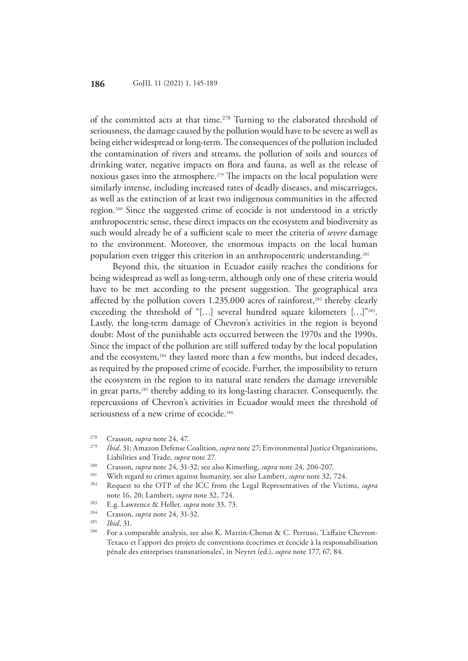of the committed acts at that time.<sup>278</sup> Turning to the elaborated threshold of seriousness, the damage caused by the pollution would have to be severe as well as being either widespread or long-term. The consequences of the pollution included the contamination of rivers and streams, the pollution of soils and sources of drinking water, negative impacts on flora and fauna, as well as the release of noxious gases into the atmosphere.<sup>279</sup> The impacts on the local population were similarly intense, including increased rates of deadly diseases, and miscarriages, as well as the extinction of at least two indigenous communities in the affected region.280 Since the suggested crime of ecocide is not understood in a strictly anthropocentric sense, these direct impacts on the ecosystem and biodiversity as such would already be of a sufficient scale to meet the criteria of *severe* damage to the environment. Moreover, the enormous impacts on the local human population even trigger this criterion in an anthropocentric understanding.<sup>281</sup>

Beyond this, the situation in Ecuador easily reaches the conditions for being widespread as well as long-term, although only one of these criteria would have to be met according to the present suggestion. The geographical area affected by the pollution covers  $1.235.000$  acres of rainforest,<sup>282</sup> thereby clearly exceeding the threshold of "[...] several hundred square kilometers [...]"283. Lastly, the long-term damage of Chevron's activities in the region is beyond doubt: Most of the punishable acts occurred between the 1970s and the 1990s. Since the impact of the pollution are still suffered today by the local population and the ecosystem,<sup>284</sup> they lasted more than a few months, but indeed decades, as required by the proposed crime of ecocide. Further, the impossibility to return the ecosystem in the region to its natural state renders the damage irreversible in great parts,285 thereby adding to its long-lasting character. Consequently, the repercussions of Chevron's activities in Ecuador would meet the threshold of seriousness of a new crime of ecocide.<sup>286</sup>

- <sup>278</sup> Crasson, *supra* note 24, 47.
- *Ibid*, 31; Amazon Defense Coalition, *supra* note 27; Environmental Justice Organizations, Liabilities and Trade, *supra* note 27.
- 280 Crasson, *supra* note 24, 31-32; see also Kimerling, *supra* note 24, 206-207.
- <sup>281</sup> With regard to crimes against humanity, see also Lambert, *supra* note 32, 724.
- 282 Request to the OTP of the ICC from the Legal Representatives of the Victims, *supra* note 16, 20; Lambert, *supra* note 32, 724.
- <sup>283</sup> E.g. Lawrence & Heller, *supra* note 33, 73.
- <sup>284</sup> Crasson, *supra* note 24, 31-32.
- 285 *Ibid*, 31.
- For a comparable analysis, see also K. Martin-Chenut & C. Perruso, 'L'affaire Chevron-Texaco et l'apport des projets de conventions écocrimes et écocide à la responsabilisation pénale des entreprises transnationales', in Neyret (ed.), *supra* note 177, 67, 84.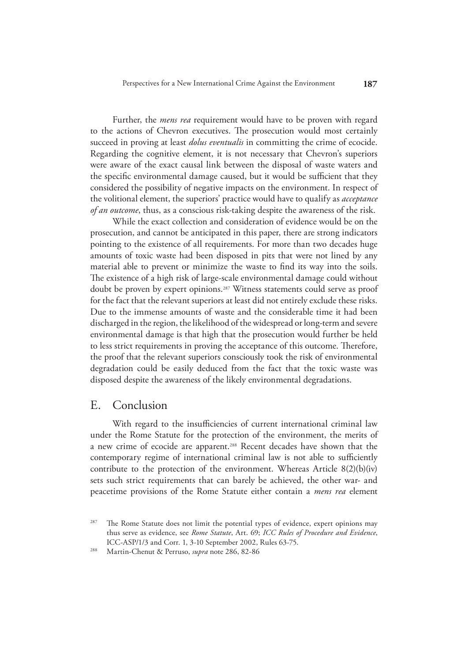<span id="page-42-0"></span>Further, the *mens rea* requirement would have to be proven with regard to the actions of Chevron executives. The prosecution would most certainly succeed in proving at least *dolus eventualis* in committing the crime of ecocide. Regarding the cognitive element, it is not necessary that Chevron's superiors were aware of the exact causal link between the disposal of waste waters and the specific environmental damage caused, but it would be sufficient that they considered the possibility of negative impacts on the environment. In respect of the volitional element, the superiors' practice would have to qualify as *acceptance of an outcome*, thus, as a conscious risk-taking despite the awareness of the risk.

While the exact collection and consideration of evidence would be on the prosecution, and cannot be anticipated in this paper, there are strong indicators pointing to the existence of all requirements. For more than two decades huge amounts of toxic waste had been disposed in pits that were not lined by any material able to prevent or minimize the waste to find its way into the soils. The existence of a high risk of large-scale environmental damage could without doubt be proven by expert opinions.<sup>287</sup> Witness statements could serve as proof for the fact that the relevant superiors at least did not entirely exclude these risks. Due to the immense amounts of waste and the considerable time it had been discharged in the region, the likelihood of the widespread or long-term and severe environmental damage is that high that the prosecution would further be held to less strict requirements in proving the acceptance of this outcome. Therefore, the proof that the relevant superiors consciously took the risk of environmental degradation could be easily deduced from the fact that the toxic waste was disposed despite the awareness of the likely environmental degradations.

### E. Conclusion

With regard to the insufficiencies of current international criminal law under the Rome Statute for the protection of the environment, the merits of a new crime of ecocide are apparent.288 Recent decades have shown that the contemporary regime of international criminal law is not able to sufficiently contribute to the protection of the environment. Whereas Article 8(2)(b)(iv) sets such strict requirements that can barely be achieved, the other war- and peacetime provisions of the Rome Statute either contain a *mens rea* element

<sup>&</sup>lt;sup>287</sup> The Rome Statute does not limit the potential types of evidence, expert opinions may thus serve as evidence, see *Rome Statute*, Art. 69; *ICC Rules of Procedure and Evidence*, ICC-ASP/1/3 and Corr. 1, 3-10 September 2002, Rules 63-75.

<sup>288</sup> Martin-Chenut & Perruso, *supra* note 286, 82-86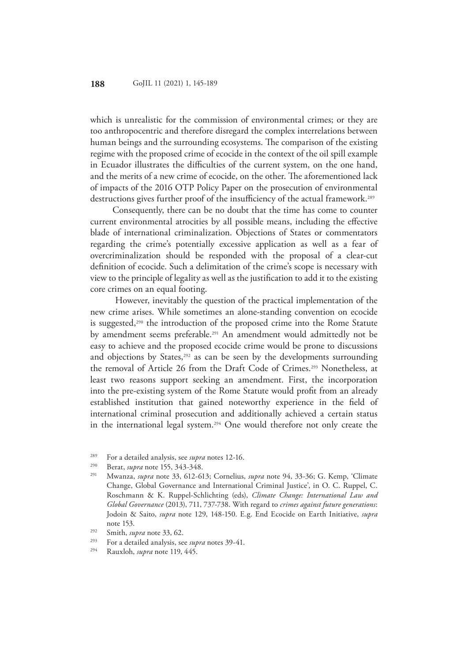which is unrealistic for the commission of environmental crimes; or they are too anthropocentric and therefore disregard the complex interrelations between human beings and the surrounding ecosystems. The comparison of the existing regime with the proposed crime of ecocide in the context of the oil spill example in Ecuador illustrates the difficulties of the current system, on the one hand, and the merits of a new crime of ecocide, on the other. The aforementioned lack of impacts of the 2016 OTP Policy Paper on the prosecution of environmental destructions gives further proof of the insufficiency of the actual framework.<sup>289</sup>

Consequently, there can be no doubt that the time has come to counter current environmental atrocities by all possible means, including the effective blade of international criminalization. Objections of States or commentators regarding the crime's potentially excessive application as well as a fear of overcriminalization should be responded with the proposal of a clear-cut definition of ecocide. Such a delimitation of the crime's scope is necessary with view to the principle of legality as well as the justification to add it to the existing core crimes on an equal footing.

 However, inevitably the question of the practical implementation of the new crime arises. While sometimes an alone-standing convention on ecocide is suggested,<sup>290</sup> the introduction of the proposed crime into the Rome Statute by amendment seems preferable.<sup>291</sup> An amendment would admittedly not be easy to achieve and the proposed ecocide crime would be prone to discussions and objections by States,<sup>292</sup> as can be seen by the developments surrounding the removal of Article 26 from the Draft Code of Crimes.293 Nonetheless, at least two reasons support seeking an amendment. First, the incorporation into the pre-existing system of the Rome Statute would profit from an already established institution that gained noteworthy experience in the field of international criminal prosecution and additionally achieved a certain status in the international legal system.294 One would therefore not only create the

<sup>&</sup>lt;sup>289</sup> For a detailed analysis, see *supra* notes 12-16.

<sup>&</sup>lt;sup>290</sup> Berat, *supra* note 155, 343-348.

<sup>291</sup> Mwanza, *supra* note 33, 612-613; Cornelius, *supra* note 94, 33-36; G. Kemp, 'Climate Change, Global Governance and International Criminal Justice', in O. C. Ruppel, C. Roschmann & K. Ruppel-Schlichting (eds), *Climate Change: International Law and Global Governance* (2013), 711, 737-738. With regard to *crimes against future generations*: Jodoin & Saito, *supra* note 129, 148-150. E.g. End Ecocide on Earth Initiative, *supra* note 153.

<sup>&</sup>lt;sup>292</sup> Smith, *supra* note 33, 62.

<sup>293</sup> For a detailed analysis, see *supra* notes 39-41.

<sup>294</sup> Rauxloh, *supra* note 119, 445.